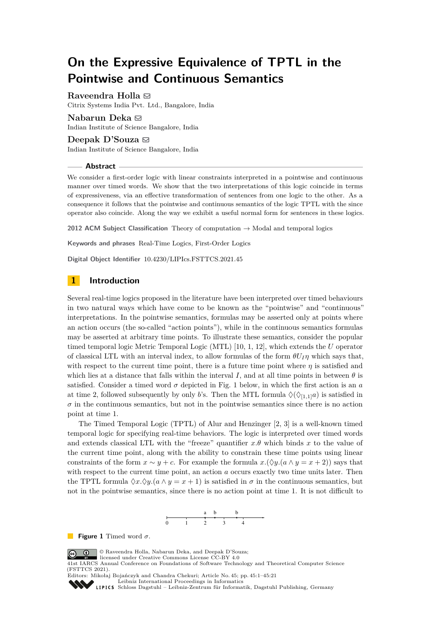# **On the Expressive Equivalence of TPTL in the Pointwise and Continuous Semantics**

**Raveendra Holla** ⊠ Citrix Systems India Pvt. Ltd., Bangalore, India

Indian Institute of Science Bangalore, India **Deepak D'Souza** ⊠ Indian Institute of Science Bangalore, India

#### **Abstract**

**Nabarun Deka** ⊠

We consider a first-order logic with linear constraints interpreted in a pointwise and continuous manner over timed words. We show that the two interpretations of this logic coincide in terms of expressiveness, via an effective transformation of sentences from one logic to the other. As a consequence it follows that the pointwise and continuous semantics of the logic TPTL with the since operator also coincide. Along the way we exhibit a useful normal form for sentences in these logics.

**2012 ACM Subject Classification** Theory of computation → Modal and temporal logics

**Keywords and phrases** Real-Time Logics, First-Order Logics

**Digital Object Identifier** [10.4230/LIPIcs.FSTTCS.2021.45](https://doi.org/10.4230/LIPIcs.FSTTCS.2021.45)

# **1 Introduction**

Several real-time logics proposed in the literature have been interpreted over timed behaviours in two natural ways which have come to be known as the "pointwise" and "continuous" interpretations. In the pointwise semantics, formulas may be asserted only at points where an action occurs (the so-called "action points"), while in the continuous semantics formulas may be asserted at arbitrary time points. To illustrate these semantics, consider the popular timed temporal logic Metric Temporal Logic (MTL) [\[10,](#page-15-0) [1,](#page-15-1) [12\]](#page-15-2), which extends the *U* operator of classical LTL with an interval index, to allow formulas of the form  $\theta U_I \eta$  which says that, with respect to the current time point, there is a future time point where  $\eta$  is satisfied and which lies at a distance that falls within the interval *I*, and at all time points in between  $\theta$  is satisfied. Consider a timed word  $\sigma$  depicted in Fig. [1](#page-0-0) below, in which the first action is an  $a$ at time 2, followed subsequently by only *b*'s. Then the MTL formula  $\Diamond(\Diamond_{[1,1]}a)$  is satisfied in  $\sigma$  in the continuous semantics, but not in the pointwise semantics since there is no action point at time 1.

The Timed Temporal Logic (TPTL) of Alur and Henzinger [\[2,](#page-15-3) [3\]](#page-15-4) is a well-known timed temporal logic for specifying real-time behaviors. The logic is interpreted over timed words and extends classical LTL with the "freeze" quantifier  $x.\theta$  which binds  $x$  to the value of the current time point, along with the ability to constrain these time points using linear constraints of the form  $x \sim y + c$ . For example the formula  $x.(\Diamond y.((a \land y = x + 2))$  says that with respect to the current time point, an action *a* occurs exactly two time units later. Then the TPTL formula  $\Diamond x.\Diamond y.(a \wedge y = x + 1)$  is satisfied in  $\sigma$  in the continuous semantics, but not in the pointwise semantics, since there is no action point at time 1. It is not difficult to



<span id="page-0-0"></span>**Figure 1** Timed word *σ*.

© Raveendra Holla, Nabarun Deka, and Deepak D'Souza;  $\circledcirc$ 

licensed under Creative Commons License CC-BY 4.0 41st IARCS Annual Conference on Foundations of Software Technology and Theoretical Computer Science (FSTTCS 2021).

Editors: Mikołaj Bojańczyk and Chandra Chekuri; Article No. 45; pp. 45:1–45:21 [Leibniz International Proceedings in Informatics](https://www.dagstuhl.de/lipics/)

[Schloss Dagstuhl – Leibniz-Zentrum für Informatik, Dagstuhl Publishing, Germany](https://www.dagstuhl.de)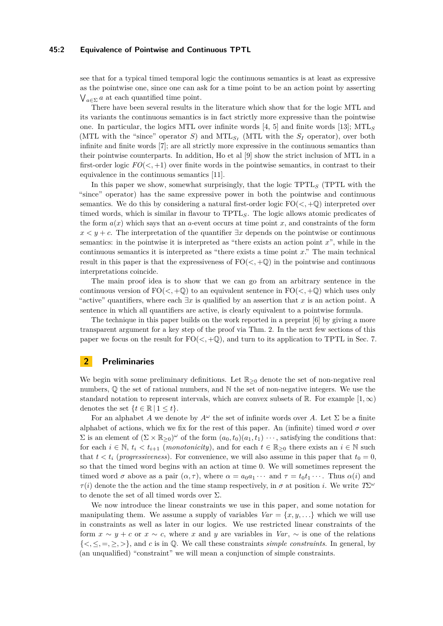#### **45:2 Equivalence of Pointwise and Continuous TPTL**

see that for a typical timed temporal logic the continuous semantics is at least as expressive as the pointwise one, since one can ask for a time point to be an action point by asserting  $\bigvee_{a \in \Sigma} a$  at each quantified time point.

There have been several results in the literature which show that for the logic MTL and its variants the continuous semantics is in fact strictly more expressive than the pointwise one. In particular, the logics MTL over infinite words [\[4,](#page-15-5) [5\]](#page-15-6) and finite words [\[13\]](#page-15-7); MTL*<sup>S</sup>* (MTL with the "since" operator *S*) and MTL<sub>*S<sub>I</sub>*</sub> (MTL with the *S<sub>I</sub>* operator), over both infinite and finite words [\[7\]](#page-15-8); are all strictly more expressive in the continuous semantics than their pointwise counterparts. In addition, Ho et al [\[9\]](#page-15-9) show the strict inclusion of MTL in a first-order logic  $FO(<, +1)$  over finite words in the pointwise semantics, in contrast to their equivalence in the continuous semantics [\[11\]](#page-15-10).

In this paper we show, somewhat surprisingly, that the logic TPTL*<sup>S</sup>* (TPTL with the "since" operator) has the same expressive power in both the pointwise and continuous semantics. We do this by considering a natural first-order logic  $FO(<, +Q)$  interpreted over timed words, which is similar in flavour to TPTL*S*. The logic allows atomic predicates of the form  $a(x)$  which says that an *a*-event occurs at time point *x*, and constraints of the form  $x < y + c$ . The interpretation of the quantifier  $\exists x$  depends on the pointwise or continuous semantics: in the pointwise it is interpreted as "there exists an action point *x*", while in the continuous semantics it is interpreted as "there exists a time point *x*." The main technical result in this paper is that the expressiveness of  $FO(<, +Q)$  in the pointwise and continuous interpretations coincide.

The main proof idea is to show that we can go from an arbitrary sentence in the continuous version of  $FO(<, +Q)$  to an equivalent sentence in  $FO(<, +Q)$  which uses only "active" quantifiers, where each  $\exists x$  is qualified by an assertion that x is an action point. A sentence in which all quantifiers are active, is clearly equivalent to a pointwise formula.

The technique in this paper builds on the work reported in a preprint [\[6\]](#page-15-11) by giving a more transparent argument for a key step of the proof via Thm. [2.](#page-7-0) In the next few sections of this paper we focus on the result for  $FO(<, +Q)$ , and turn to its application to TPTL in Sec. [7.](#page-13-0)

# **2 Preliminaries**

We begin with some preliminary definitions. Let  $\mathbb{R}_{\geq 0}$  denote the set of non-negative real numbers,  $\mathbb Q$  the set of rational numbers, and  $\mathbb N$  the set of non-negative integers. We use the standard notation to represent intervals, which are convex subsets of R. For example  $[1,\infty)$ denotes the set  $\{t \in \mathbb{R} \mid 1 \leq t\}.$ 

For an alphabet *A* we denote by  $A^{\omega}$  the set of infinite words over *A*. Let  $\Sigma$  be a finite alphabet of actions, which we fix for the rest of this paper. An (infinite) timed word  $\sigma$  over  $\Sigma$  is an element of  $(\Sigma \times \mathbb{R}_{\geq 0})^{\omega}$  of the form  $(a_0, t_0)(a_1, t_1) \cdots$ , satisfying the conditions that: for each  $i \in \mathbb{N}$ ,  $t_i < t_{i+1}$  (*monotonicity*), and for each  $t \in \mathbb{R}_{\geq 0}$  there exists an  $i \in \mathbb{N}$  such that  $t < t_i$  (*progressiveness*). For convenience, we will also assume in this paper that  $t_0 = 0$ , so that the timed word begins with an action at time 0. We will sometimes represent the timed word  $\sigma$  above as a pair  $(\alpha, \tau)$ , where  $\alpha = a_0 a_1 \cdots$  and  $\tau = t_0 t_1 \cdots$ . Thus  $\alpha(i)$  and *τ*(*i*) denote the the action and the time stamp respectively, in  $\sigma$  at position *i*. We write  $T\Sigma^{\omega}$ to denote the set of all timed words over  $\Sigma$ .

We now introduce the linear constraints we use in this paper, and some notation for manipulating them. We assume a supply of variables  $Var = \{x, y, \ldots\}$  which we will use in constraints as well as later in our logics. We use restricted linear constraints of the form  $x \sim y + c$  or  $x \sim c$ , where x and y are variables in *Var*,  $\sim$  is one of the relations  $\{\langle \xi, \xi, =, \xi, \xi \rangle\}$ , and *c* is in Q. We call these constraints *simple constraints*. In general, by (an unqualified) "constraint" we will mean a conjunction of simple constraints.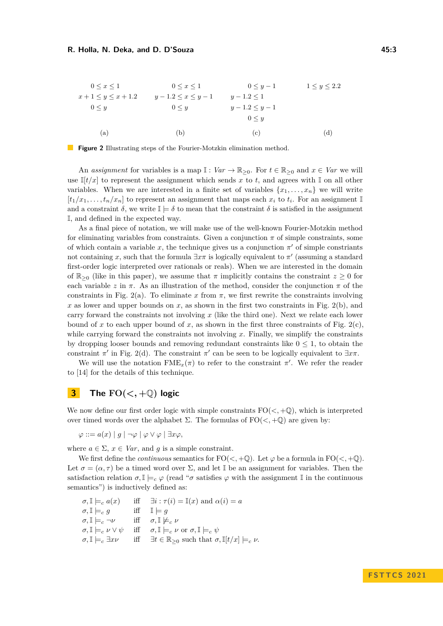<span id="page-2-0"></span>
$$
0 \le x \le 1 \qquad 0 \le x \le 1 \qquad 0 \le y - 1 \qquad 1 \le y \le 2.2
$$
  
\n
$$
x + 1 \le y \le x + 1.2 \qquad y - 1.2 \le x \le y - 1 \qquad y - 1.2 \le 1
$$
  
\n
$$
0 \le y \qquad 0 \le y \qquad y - 1.2 \le y - 1
$$
  
\n
$$
0 \le y \qquad 0 \le y
$$
  
\n(a) (b) (c) (d)

**Figure 2** Illustrating steps of the Fourier-Motzkin elimination method.

An *assignment* for variables is a map  $\mathbb{I}: Var \to \mathbb{R}_{\geq 0}$ . For  $t \in \mathbb{R}_{\geq 0}$  and  $x \in Var$  we will use  $\mathbb{I}[t/x]$  to represent the assignment which sends x to t, and agrees with  $\mathbb{I}$  on all other variables. When we are interested in a finite set of variables  $\{x_1, \ldots, x_n\}$  we will write  $[t_1/x_1, \ldots, t_n/x_n]$  to represent an assignment that maps each  $x_i$  to  $t_i$ . For an assignment  $\mathbb{I}$ and a constraint  $\delta$ , we write  $\mathbb{I} \models \delta$  to mean that the constraint  $\delta$  is satisfied in the assignment I, and defined in the expected way.

As a final piece of notation, we will make use of the well-known Fourier-Motzkin method for eliminating variables from constraints. Given a conjunction  $\pi$  of simple constraints, some of which contain a variable  $x$ , the technique gives us a conjunction  $\pi'$  of simple constriants not containing *x*, such that the formula  $\exists x \pi$  is logically equivalent to  $\pi'$  (assuming a standard first-order logic interpreted over rationals or reals). When we are interested in the domain of  $\mathbb{R}_{\geq 0}$  (like in this paper), we assume that  $\pi$  implicitly contains the constraint  $z \geq 0$  for each variable *z* in  $\pi$ . As an illustration of the method, consider the conjunction  $\pi$  of the constraints in Fig. [2\(](#page-2-0)a). To eliminate x from  $\pi$ , we first rewrite the constraints involving *x* as lower and upper bounds on *x*, as shown in the first two constraints in Fig. [2\(](#page-2-0)b), and carry forward the constraints not involving *x* (like the third one). Next we relate each lower bound of x to each upper bound of x, as shown in the first three constraints of Fig.  $2(c)$ , while carrying forward the constraints not involving *x*. Finally, we simplify the constraints by dropping looser bounds and removing redundant constraints like  $0 \leq 1$ , to obtain the constraint  $\pi'$  in Fig. [2\(](#page-2-0)d). The constraint  $\pi'$  can be seen to be logically equivalent to  $\exists x \pi$ .

We will use the notation  $\text{FME}_x(\pi)$  to refer to the constraint  $\pi'$ . We refer the reader to [\[14\]](#page-15-12) for the details of this technique.

# **3 The**  $FO(<, +Q)$  **logic**

We now define our first order logic with simple constraints  $FO(<, +Q)$ , which is interpreted over timed words over the alphabet Σ. The formulas of  $FO(<, +Q)$  are given by:

 $\varphi ::= a(x) | g | \neg \varphi | \varphi \vee \varphi | \exists x \varphi,$ 

where  $a \in \Sigma$ ,  $x \in Var$ , and *q* is a simple constraint.

We first define the *continuous* semantics for  $FO(<, +Q)$ . Let  $\varphi$  be a formula in  $FO(<, +Q)$ . Let  $\sigma = (\alpha, \tau)$  be a timed word over  $\Sigma$ , and let  $\mathbb{I}$  be an assignment for variables. Then the satisfaction relation  $\sigma, \mathbb{I} \models_c \varphi$  (read " $\sigma$  satisfies  $\varphi$  with the assignment I in the continuous semantics") is inductively defined as:

$$
\begin{array}{lll}\n\sigma, \mathbb{I} \models_c a(x) & \text{iff} & \exists i : \tau(i) = \mathbb{I}(x) \text{ and } \alpha(i) = a \\
\sigma, \mathbb{I} \models_c g & \text{iff} & \mathbb{I} \models g \\
\sigma, \mathbb{I} \models_c \neg \nu & \text{iff} & \sigma, \mathbb{I} \not\models_c \nu \\
\sigma, \mathbb{I} \models_c \nu \lor \psi & \text{iff} & \sigma, \mathbb{I} \models_c \nu \text{ or } \sigma, \mathbb{I} \models_c \psi \\
\sigma, \mathbb{I} \models_c \exists x \nu & \text{iff} & \exists t \in \mathbb{R}_{\geq 0} \text{ such that } \sigma, \mathbb{I}[t/x] \models_c \nu.\n\end{array}
$$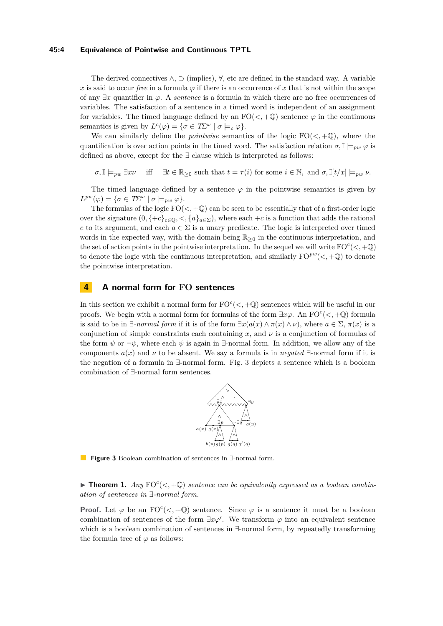#### **45:4 Equivalence of Pointwise and Continuous TPTL**

The derived connectives  $\wedge$ ,  $\supset$  (implies),  $\forall$ , etc are defined in the standard way. A variable *x* is said to occur *free* in a formula  $\varphi$  if there is an occurrence of *x* that is not within the scope of any  $\exists x$  quantifier in  $\varphi$ . A *sentence* is a formula in which there are no free occurrences of variables. The satisfaction of a sentence in a timed word is independent of an assignment for variables. The timed language defined by an  $FO(<, +Q)$  sentence  $\varphi$  in the continuous semantics is given by  $L^c(\varphi) = {\sigma \in T\Sigma^{\omega} \mid \sigma \models_c \varphi}.$ 

We can similarly define the *pointwise* semantics of the logic  $FO(<, +Q)$ , where the quantification is over action points in the timed word. The satisfaction relation  $\sigma$ ,  $\mathbb{I} \models_{vw} \varphi$  is defined as above, except for the ∃ clause which is interpreted as follows:

 $\sigma, \mathbb{I} \models_{pw} \exists x \nu$  iff  $\exists t \in \mathbb{R}_{\geq 0}$  such that  $t = \tau(i)$  for some  $i \in \mathbb{N}$ , and  $\sigma, \mathbb{I}[t/x] \models_{pw} \nu$ .

The timed language defined by a sentence  $\varphi$  in the pointwise semantics is given by  $L^{pw}(\varphi) = \{\sigma \in T\Sigma^{\omega} \mid \sigma \models_{pw} \varphi\}.$ 

The formulas of the logic  $FO(<, +\mathbb{Q})$  can be seen to be essentially that of a first-order logic over the signature  $(0, \{+c\}_{c\in\mathbb{Q}}, \langle \{a\}_{a\in\Sigma}\})$ , where each  $+c$  is a function that adds the rational *c* to its argument, and each  $a \in \Sigma$  is a unary predicate. The logic is interpreted over timed words in the expected way, with the domain being  $\mathbb{R}_{\geq 0}$  in the continuous interpretation, and the set of action points in the pointwise interpretation. In the sequel we will write  $\text{FO}^c\left(\langle ,+\mathbb{Q}\right)$ to denote the logic with the continuous interpretation, and similarly  $FO^{pw}(<, +\mathbb{Q})$  to denote the pointwise interpretation.

# **4 A normal form for FO sentences**

In this section we exhibit a normal form for  $FO<sup>c</sup>(<, +\mathbb{Q})$  sentences which will be useful in our proofs. We begin with a normal form for formulas of the form  $\exists x \varphi$ . An  $\text{FO}^c(\leq, +\mathbb{Q})$  formula is said to be in  $\exists$ -*normal form* if it is of the form  $\exists x(a(x) \land \pi(x) \land \nu)$ , where  $a \in \Sigma$ ,  $\pi(x)$  is a conjunction of simple constraints each containing *x*, and *ν* is a conjunction of formulas of the form  $\psi$  or  $\neg \psi$ , where each  $\psi$  is again in  $\exists$ -normal form. In addition, we allow any of the components  $a(x)$  and  $\nu$  to be absent. We say a formula is in *negated*  $\exists$ -normal form if it is the negation of a formula in ∃-normal form. Fig. [3](#page-3-0) depicts a sentence which is a boolean combination of ∃-normal form sentences.



<span id="page-3-0"></span>**Figure 3** Boolean combination of sentences in ∃-normal form.

<span id="page-3-1"></span> $\blacktriangleright$  **Theorem 1.** Any  $FO<sup>c</sup>(<, +Q)$  *sentence can be equivalently expressed as a boolean combination of sentences in* ∃*-normal form.*

**Proof.** Let  $\varphi$  be an FO<sup>c</sup>( $\lt$ ,  $+\mathbb{Q}$ ) sentence. Since  $\varphi$  is a sentence it must be a boolean combination of sentences of the form  $\exists x \varphi'$ . We transform  $\varphi$  into an equivalent sentence which is a boolean combination of sentences in ∃-normal form, by repeatedly transforming the formula tree of  $\varphi$  as follows: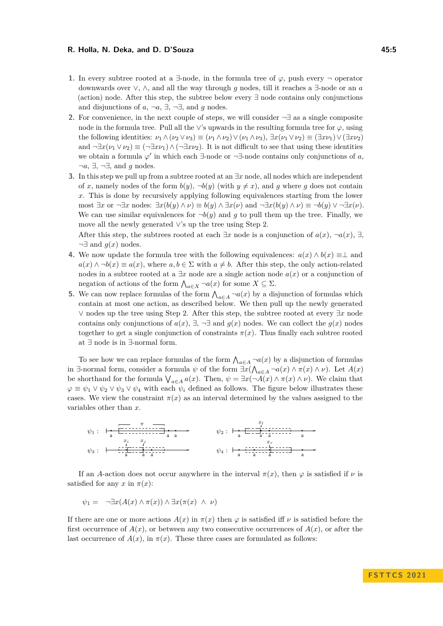- **1.** In every subtree rooted at a  $\exists$ -node, in the formula tree of  $\varphi$ , push every  $\neg$  operator downwards over ∨, ∧, and all the way through *g* nodes, till it reaches a ∃-node or an *a* (action) node. After this step, the subtree below every ∃ node contains only conjunctions and disjunctions of  $a, \neg a, \exists, \neg \exists$ , and  $g$  nodes.
- <span id="page-4-0"></span>**2.** For convenience, in the next couple of steps, we will consider ¬∃ as a single composite node in the formula tree. Pull all the ∨'s upwards in the resulting formula tree for *φ*, using the following identities:  $\nu_1 \wedge (\nu_2 \vee \nu_3) \equiv (\nu_1 \wedge \nu_2) \vee (\nu_1 \wedge \nu_3), \exists x (\nu_1 \vee \nu_2) \equiv (\exists x \nu_1) \vee (\exists x \nu_2)$ and  $\neg \exists x(\nu_1 \vee \nu_2) \equiv (\neg \exists x\nu_1) \wedge (\neg \exists x\nu_2)$ . It is not difficult to see that using these identities we obtain a formula  $\varphi'$  in which each ∃-node or  $\neg \exists$ -node contains only conjunctions of *a*, ¬*a*, ∃, ¬∃, and *g* nodes.
- **3.** In this step we pull up from a subtree rooted at an ∃*x* node, all nodes which are independent of x, namely nodes of the form  $b(y)$ ,  $\neg b(y)$  (with  $y \neq x$ ), and g where g does not contain *x*. This is done by recursively applying following equivalences starting from the lower most  $\exists x$  or  $\neg \exists x$  nodes:  $\exists x (b(y) \land \nu) \equiv b(y) \land \exists x(\nu)$  and  $\neg \exists x (b(y) \land \nu) \equiv \neg b(y) \lor \neg \exists x(\nu)$ . We can use similar equivalences for  $\neg b(y)$  and *g* to pull them up the tree. Finally, we move all the newly generated ∨'s up the tree using Step 2.

After this step, the subtrees rooted at each  $\exists x$  node is a conjunction of  $a(x)$ ,  $\neg a(x)$ ,  $\exists$ ,  $\neg \exists$  and  $g(x)$  nodes.

- **4.** We now update the formula tree with the following equivalences:  $a(x) \wedge b(x) \equiv \perp$  and  $a(x) \wedge \neg b(x) \equiv a(x)$ , where  $a, b \in \Sigma$  with  $a \neq b$ . After this step, the only action-related nodes in a subtree rooted at a ∃*x* node are a single action node *a*(*x*) or a conjunction of negation of actions of the form  $\bigwedge_{a \in X} \neg a(x)$  for some  $X \subseteq \Sigma$ .
- **5.** We can now replace formulas of the form  $\bigwedge_{a \in A} \neg a(x)$  by a disjunction of formulas which contain at most one action, as described below. We then pull up the newly generated ∨ nodes up the tree using Step [2.](#page-4-0) After this step, the subtree rooted at every ∃*x* node contains only conjunctions of  $a(x)$ ,  $\exists$ ,  $\neg$  and  $q(x)$  nodes. We can collect the  $q(x)$  nodes together to get a single conjunction of constraints  $\pi(x)$ . Thus finally each subtree rooted at ∃ node is in ∃-normal form.

To see how we can replace formulas of the form  $\bigwedge_{a \in A} \neg a(x)$  by a disjunction of formulas in ∃-normal form, consider a formula  $\psi$  of the form  $\exists x (\bigwedge_{a \in A} \neg a(x) \land \pi(x) \land \nu)$ . Let  $A(x)$ be shorthand for the formula  $\bigvee_{a \in A} a(x)$ . Then,  $\psi = \exists x (\neg A(x) \land \pi(x) \land \nu)$ . We claim that  $\varphi \equiv \psi_1 \vee \psi_2 \vee \psi_3 \vee \psi_4$  with each  $\psi_i$  defined as follows. The figure below illustrates these cases. We view the constraint  $\pi(x)$  as an interval determined by the values assigned to the variables other than *x*.

*ψ*<sup>1</sup> : a a a *π ψ*<sup>2</sup> : a a a a *xl ψ*<sup>3</sup> : a a a *x<sup>i</sup> x<sup>j</sup> ψ*<sup>4</sup> : a a a a *x<sup>r</sup>*

If an *A*-action does not occur anywhere in the interval  $\pi(x)$ , then  $\varphi$  is satisfied if  $\nu$  is satisfied for any  $x$  in  $\pi(x)$ :

$$
\psi_1 = \neg \exists x (A(x) \land \pi(x)) \land \exists x (\pi(x) \land \nu)
$$

If there are one or more actions  $A(x)$  in  $\pi(x)$  then  $\varphi$  is satisfied iff  $\nu$  is satisfied before the first occurrence of  $A(x)$ , or between any two consecutive occurrences of  $A(x)$ , or after the last occurrence of  $A(x)$ , in  $\pi(x)$ . These three cases are formulated as follows: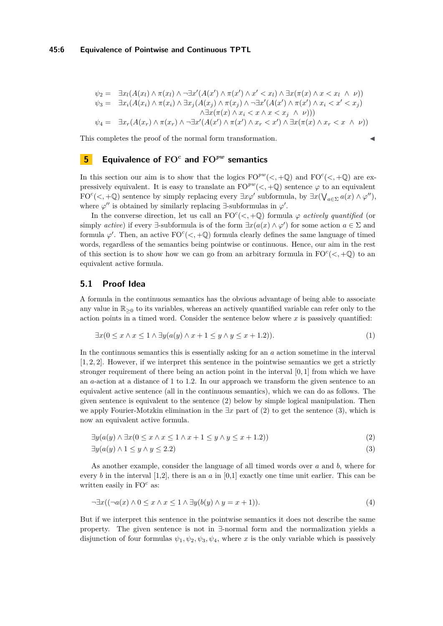$$
\psi_2 = \exists x_l (A(x_l) \land \pi(x_l) \land \neg \exists x' (A(x') \land \pi(x') \land x' < x_l) \land \exists x (\pi(x) \land x < x_l \land \nu))
$$
\n
$$
\psi_3 = \exists x_i (A(x_i) \land \pi(x_i) \land \exists x_j (A(x_j) \land \pi(x_j) \land \neg \exists x' (A(x') \land \pi(x') \land x_i < x' < x_j)
$$
\n
$$
\land \exists x (\pi(x) \land x_i < x \land x < x_j \land \nu)))
$$
\n
$$
\psi_4 = \exists x_r (A(x_r) \land \pi(x_r) \land \neg \exists x' (A(x') \land \pi(x') \land x_r < x') \land \exists x (\pi(x) \land x_r < x \land \nu))
$$

This completes the proof of the normal form transformation.

# <span id="page-5-2"></span>**5 Equivalence of FO***<sup>c</sup>* **and FO***pw* **semantics**

In this section our aim is to show that the logics  $FO^{pw}(\langle, +\mathbb{Q})$  and  $FO^{c}(\langle, +\mathbb{Q})$  are expressively equivalent. It is easy to translate an  $\mathrm{FO}^{pw}(<, +\mathbb{Q})$  sentence  $\varphi$  to an equivalent  $FO<sup>c</sup>(<, +Q)$  sentence by simply replacing every  $\exists x \varphi'$  subformula, by  $\exists x (\bigvee_{a \in \Sigma} a(x) \wedge \varphi'')$ , where  $\varphi''$  is obtained by similarly replacing  $\exists$ -subformulas in  $\varphi'$ .

In the converse direction, let us call an  $FO<sup>c</sup>(<, +Q)$  formula  $\varphi$  *actively quantified* (or simply *active*) if every  $\exists$ -subformula is of the form  $\exists x (a(x) \land \varphi')$  for some action  $a \in \Sigma$  and formula  $\varphi'$ . Then, an active  $FO<sup>c</sup>(<, +\mathbb{Q})$  formula clearly defines the same language of timed words, regardless of the semantics being pointwise or continuous. Hence, our aim in the rest of this section is to show how we can go from an arbitrary formula in  $FO<sup>c</sup>(<, +Q)$  to an equivalent active formula.

## **5.1 Proof Idea**

A formula in the continuous semantics has the obvious advantage of being able to associate any value in  $\mathbb{R}_{\geq 0}$  to its variables, whereas an actively quantified variable can refer only to the action points in a timed word. Consider the sentence below where  $x$  is passively quantified:

$$
\exists x (0 \le x \land x \le 1 \land \exists y (a(y) \land x + 1 \le y \land y \le x + 1.2)).\tag{1}
$$

In the continuous semantics this is essentially asking for an *a* action sometime in the interval [1*,* 2*,* 2]. However, if we interpret this sentence in the pointwise semantics we get a strictly stronger requirement of there being an action point in the interval [0*,* 1] from which we have an *a*-action at a distance of 1 to 1.2. In our approach we transform the given sentence to an equivalent active sentence (all in the continuous semantics), which we can do as follows. The given sentence is equivalent to the sentence [\(2\)](#page-5-0) below by simple logical manipulation. Then we apply Fourier-Motzkin elimination in the ∃*x* part of [\(2\)](#page-5-0) to get the sentence [\(3\)](#page-5-1), which is now an equivalent active formula.

<span id="page-5-1"></span><span id="page-5-0"></span>
$$
\exists y (a(y) \land \exists x (0 \le x \land x \le 1 \land x + 1 \le y \land y \le x + 1.2))
$$
\n
$$
(2)
$$

$$
\exists y (a(y) \land 1 \le y \land y \le 2.2) \tag{3}
$$

As another example, consider the language of all timed words over *a* and *b*, where for every *b* in the interval [1,2], there is an *a* in [0,1] exactly one time unit earlier. This can be written easily in FO<sup>c</sup> as:

$$
\neg \exists x ((\neg a(x) \land 0 \le x \land x \le 1 \land \exists y (b(y) \land y = x + 1)). \tag{4}
$$

But if we interpret this sentence in the pointwise semantics it does not describe the same property. The given sentence is not in ∃-normal form and the normalization yields a disjunction of four formulas  $\psi_1, \psi_2, \psi_3, \psi_4$ , where *x* is the only variable which is passively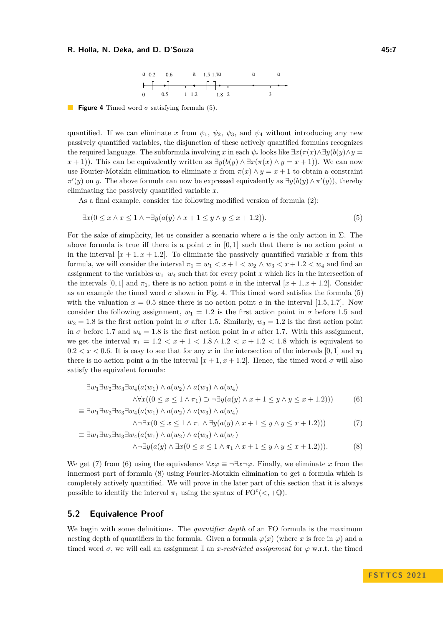<span id="page-6-0"></span>

<span id="page-6-1"></span>**Figure 4** Timed word  $\sigma$  satisfying formula [\(5\)](#page-6-0).

quantified. If we can eliminate *x* from  $\psi_1$ ,  $\psi_2$ ,  $\psi_3$ , and  $\psi_4$  without introducing any new passively quantified variables, the disjunction of these actively quantified formulas recognizes the required language. The subformula involving *x* in each  $\psi_i$  looks like  $\exists x (\pi(x) \land \exists y (b(y) \land y =$ *x* + 1)). This can be equivalently written as  $\exists y(b(y) \land \exists x(\pi(x) \land y = x + 1))$ . We can now use Fourier-Motzkin elimination to eliminate *x* from  $\pi(x) \wedge y = x + 1$  to obtain a constraint  $\pi'(y)$  on *y*. The above formula can now be expressed equivalently as  $\exists y(b(y) \wedge \pi'(y))$ , thereby eliminating the passively quantified variable *x*.

As a final example, consider the following modified version of formula [\(2\)](#page-5-0):

$$
\exists x (0 \le x \land x \le 1 \land \neg \exists y (a(y) \land x + 1 \le y \land y \le x + 1.2)).\tag{5}
$$

For the sake of simplicity, let us consider a scenario where *a* is the only action in Σ. The above formula is true iff there is a point  $x$  in  $[0, 1]$  such that there is no action point  $a$ in the interval  $[x + 1, x + 1.2]$ . To eliminate the passively quantified variable x from this formula, we will consider the interval  $\pi_1 = w_1 < x+1 < w_2 \wedge w_3 < x+1.2 < w_4$  and find an assignment to the variables  $w_1-w_4$  such that for every point *x* which lies in the intersection of the intervals [0, 1] and  $\pi_1$ , there is no action point *a* in the interval  $[x + 1, x + 1.2]$ . Consider as an example the timed word  $\sigma$  shown in Fig. [4.](#page-6-1) This timed word satisfies the formula [\(5\)](#page-6-0) with the valuation  $x = 0.5$  since there is no action point *a* in the interval [1.5, 1.7]. Now consider the following assignment,  $w_1 = 1.2$  is the first action point in  $\sigma$  before 1.5 and  $w_2 = 1.8$  is the first action point in  $\sigma$  after 1.5. Similarly,  $w_3 = 1.2$  is the first action point in *σ* before 1.7 and  $w_4 = 1.8$  is the first action point in *σ* after 1.7. With this assignment, we get the interval  $\pi_1 = 1.2 < x + 1 < 1.8 \land 1.2 < x + 1.2 < 1.8$  which is equivalent to  $0.2 < x < 0.6$ . It is easy to see that for any x in the intersection of the intervals [0, 1] and  $\pi_1$ there is no action point *a* in the interval  $[x + 1, x + 1.2]$ . Hence, the timed word  $\sigma$  will also satisfy the equivalent formula:

$$
\exists w_1 \exists w_2 \exists w_3 \exists w_4 (a(w_1) \land a(w_2) \land a(w_3) \land a(w_4)
$$
  

$$
\land \forall x ((0 \le x \le 1 \land \pi_1) \supset \neg \exists y (a(y) \land x + 1 \le y \land y \le x + 1.2)))
$$
  

$$
\exists w_1 \exists w_2 \exists w_3 \exists w_4 (a(w_1) \land a(w_2) \land a(w_3) \land a(w_4))
$$

$$
= \exists w_1 \exists w_2 \exists w_3 \exists w_4 (a(w_1) \land a(w_2) \land a(w_3) \land a(w_4)
$$

<span id="page-6-4"></span><span id="page-6-3"></span><span id="page-6-2"></span>
$$
\wedge \neg \exists x (0 \le x \le 1 \land \pi_1 \land \exists y (a(y) \land x + 1 \le y \land y \le x + 1.2))) \tag{7}
$$

$$
\equiv \exists w_1 \exists w_2 \exists w_3 \exists w_4 (a(w_1) \land a(w_2) \land a(w_3) \land a(w_4)
$$
  

$$
\land \neg \exists y (a(y) \land \exists x (0 \le x \le 1 \land \pi_1 \land x + 1 \le y \land y \le x + 1.2))).
$$
 (8)

We get [\(7\)](#page-6-2) from [\(6\)](#page-6-3) using the equivalence  $\forall x \varphi \equiv \neg \exists x \neg \varphi$ . Finally, we eliminate *x* from the innermost part of formula [\(8\)](#page-6-4) using Fourier-Motzkin elimination to get a formula which is completely actively quantified. We will prove in the later part of this section that it is always possible to identify the interval  $\pi_1$  using the syntax of  $FO<sup>c</sup>(<, +Q)$ .

#### **5.2 Equivalence Proof**

We begin with some definitions. The *quantifier depth* of an FO formula is the maximum nesting depth of quantifiers in the formula. Given a formula  $\varphi(x)$  (where *x* is free in  $\varphi$ ) and a timed word  $\sigma$ , we will call an assignment  $\mathbb{I}$  an *x-restricted assignment* for  $\varphi$  w.r.t. the timed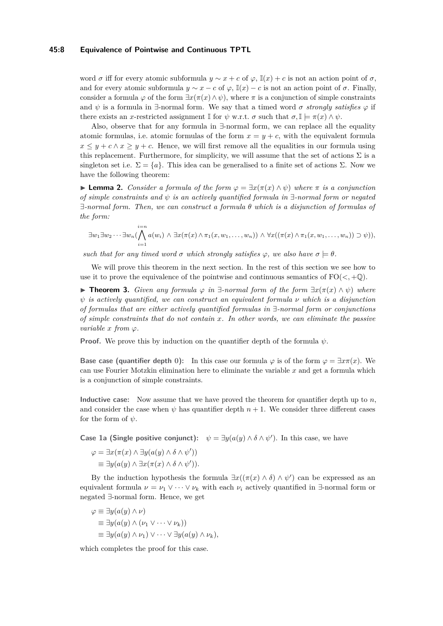#### **45:8 Equivalence of Pointwise and Continuous TPTL**

word  $\sigma$  iff for every atomic subformula  $y \sim x + c$  of  $\varphi$ ,  $\mathbb{I}(x) + c$  is not an action point of  $\sigma$ , and for every atomic subformula  $y \sim x - c$  of  $\varphi$ ,  $\mathbb{I}(x) - c$  is not an action point of  $\sigma$ . Finally, consider a formula  $\varphi$  of the form  $\exists x(\pi(x) \land \psi)$ , where  $\pi$  is a conjunction of simple constraints and  $\psi$  is a formula in  $\exists$ -normal form. We say that a timed word  $\sigma$  *strongly satisfies*  $\varphi$  if there exists an *x*-restricted assignment  $\mathbb{I}$  for  $\psi$  w.r.t.  $\sigma$  such that  $\sigma, \mathbb{I} \models \pi(x) \land \psi$ .

Also, observe that for any formula in ∃-normal form, we can replace all the equality atomic formulas, i.e. atomic formulas of the form  $x = y + c$ , with the equivalent formula  $x \leq y + c \land x \geq y + c$ . Hence, we will first remove all the equalities in our formula using this replacement. Furthermore, for simplicity, we will assume that the set of actions  $\Sigma$  is a singleton set i.e.  $\Sigma = \{a\}$ . This idea can be generalised to a finite set of actions  $\Sigma$ . Now we have the following theorem:

<span id="page-7-0"></span>▶ **Lemma 2.** *Consider a formula of the form φ* = ∃*x*(*π*(*x*) ∧ *ψ*) *where π is a conjunction of simple constraints and ψ is an actively quantified formula in* ∃*-normal form or negated* ∃*-normal form. Then, we can construct a formula θ which is a disjunction of formulas of the form:*

$$
\exists w_1 \exists w_2 \cdots \exists w_n (\bigwedge_{i=1}^{i=n} a(w_i) \land \exists x (\pi(x) \land \pi_1(x, w_1, \ldots, w_n)) \land \forall x ((\pi(x) \land \pi_1(x, w_1, \ldots, w_n)) \supset \psi)),
$$

*such that for any timed word*  $\sigma$  *which strongly satisfies*  $\varphi$ , *we also have*  $\sigma \models \theta$ *.* 

We will prove this theorem in the next section. In the rest of this section we see how to use it to prove the equivalence of the pointwise and continuous semantics of  $FO(<, +Q)$ .

<span id="page-7-1"></span>**► Theorem 3.** *Given any formula*  $\varphi$  *in*  $\exists$ -*normal form of the form*  $\exists x(\pi(x) \land \psi)$  *where ψ is actively quantified, we can construct an equivalent formula ν which is a disjunction of formulas that are either actively quantified formulas in* ∃*-normal form or conjunctions of simple constraints that do not contain x. In other words, we can eliminate the passive variable*  $x$  *from*  $\varphi$ *.* 

**Proof.** We prove this by induction on the quantifier depth of the formula *ψ*.

**Base case (quantifier depth 0):** In this case our formula  $\varphi$  is of the form  $\varphi = \exists x \pi(x)$ . We can use Fourier Motzkin elimination here to eliminate the variable *x* and get a formula which is a conjunction of simple constraints.

**Inductive case:** Now assume that we have proved the theorem for quantifier depth up to *n*, and consider the case when  $\psi$  has quantifier depth  $n + 1$ . We consider three different cases for the form of *ψ*.

**Case 1a (Single positive conjunct):**  $\psi = \exists y (a(y) \land \delta \land \psi')$ . In this case, we have

$$
\varphi = \exists x (\pi(x) \land \exists y (a(y) \land \delta \land \psi'))
$$
  

$$
\equiv \exists y (a(y) \land \exists x (\pi(x) \land \delta \land \psi')).
$$

By the induction hypothesis the formula  $\exists x((\pi(x) \land \delta) \land \psi')$  can be expressed as an equivalent formula  $\nu = \nu_1 \vee \cdots \vee \nu_k$  with each  $\nu_i$  actively quantified in  $\exists$ -normal form or negated ∃-normal form. Hence, we get

$$
\varphi \equiv \exists y (a(y) \land \nu)
$$
  
\n
$$
\equiv \exists y (a(y) \land (\nu_1 \lor \dots \lor \nu_k))
$$
  
\n
$$
\equiv \exists y (a(y) \land \nu_1) \lor \dots \lor \exists y (a(y) \land \nu_k),
$$

which completes the proof for this case.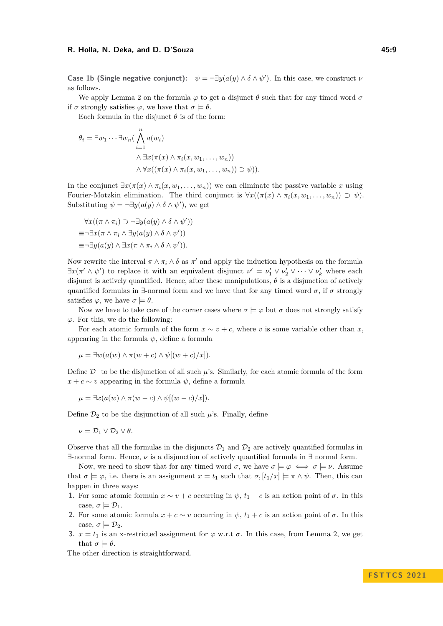**Case 1b (Single negative conjunct):**  $\psi = \neg \exists y (a(y) \land \delta \land \psi')$ . In this case, we construct  $\nu$ as follows.

We apply Lemma [2](#page-7-0) on the formula  $\varphi$  to get a disjunct  $\theta$  such that for any timed word  $\sigma$ if  $\sigma$  strongly satisfies  $\varphi$ , we have that  $\sigma \models \theta$ .

Each formula in the disjunct  $\theta$  is of the form:

$$
\theta_i = \exists w_1 \cdots \exists w_n \left( \bigwedge_{i=1}^n a(w_i) \right. \\ \left. \qquad \qquad \land \exists x (\pi(x) \land \pi_i(x, w_1, \ldots, w_n)) \right. \\ \left. \qquad \qquad \land \forall x ((\pi(x) \land \pi_i(x, w_1, \ldots, w_n)) \supset \psi) \right).
$$

In the conjunct  $\exists x(\pi(x) \land \pi_i(x, w_1, \ldots, w_n))$  we can eliminate the passive variable *x* using Fourier-Motzkin elimination. The third conjunct is  $\forall x((\pi(x) \land \pi_i(x, w_1, \ldots, w_n)) \supset \psi)$ . Substituting  $\psi = \neg \exists y (a(y) \land \delta \land \psi')$ , we get

$$
\forall x ((\pi \wedge \pi_i) \supset \neg \exists y (a(y) \wedge \delta \wedge \psi'))
$$
  
\n
$$
\equiv \neg \exists x (\pi \wedge \pi_i \wedge \exists y (a(y) \wedge \delta \wedge \psi'))
$$
  
\n
$$
\equiv \neg \exists y (a(y) \wedge \exists x (\pi \wedge \pi_i \wedge \delta \wedge \psi')).
$$

Now rewrite the interval  $\pi \wedge \pi_i \wedge \delta$  as  $\pi'$  and apply the induction hypothesis on the formula  $\exists x (\pi' \wedge \psi')$  to replace it with an equivalent disjunct  $\nu' = \nu'_1 \vee \nu'_2 \vee \cdots \vee \nu'_k$  where each disjunct is actively quantified. Hence, after these manipulations,  $\theta$  is a disjunction of actively quantified formulas in  $\exists$ -normal form and we have that for any timed word  $\sigma$ , if  $\sigma$  strongly satisfies  $\varphi$ , we have  $\sigma \models \theta$ .

Now we have to take care of the corner cases where  $\sigma \models \varphi$  but  $\sigma$  does not strongly satisfy *φ*. For this, we do the following:

For each atomic formula of the form  $x \sim v + c$ , where *v* is some variable other than *x*, appearing in the formula  $\psi$ , define a formula

$$
\mu = \exists w (a(w) \land \pi(w + c) \land \psi[(w + c)/x]).
$$

Define  $\mathcal{D}_1$  to be the disjunction of all such  $\mu$ 's. Similarly, for each atomic formula of the form  $x + c \sim v$  appearing in the formula  $\psi$ , define a formula

$$
\mu = \exists x (a(w) \land \pi(w - c) \land \psi[(w - c)/x]).
$$

Define  $\mathcal{D}_2$  to be the disjunction of all such  $\mu$ 's. Finally, define

$$
\nu = \mathcal{D}_1 \vee \mathcal{D}_2 \vee \theta.
$$

Observe that all the formulas in the disjuncts  $\mathcal{D}_1$  and  $\mathcal{D}_2$  are actively quantified formulas in ∃-normal form. Hence, *ν* is a disjunction of actively quantified formula in ∃ normal form.

Now, we need to show that for any timed word  $\sigma$ , we have  $\sigma \models \varphi \iff \sigma \models \nu$ . Assume that  $\sigma \models \varphi$ , i.e. there is an assignment  $x = t_1$  such that  $\sigma$ ,  $[t_1/x] \models \pi \wedge \psi$ . Then, this can happen in three ways:

- **1.** For some atomic formula  $x \sim v + c$  occurring in  $\psi$ ,  $t_1 c$  is an action point of  $\sigma$ . In this case,  $\sigma \models \mathcal{D}_1$ .
- **2.** For some atomic formula  $x + c \sim v$  occurring in  $\psi$ ,  $t_1 + c$  is an action point of  $\sigma$ . In this case,  $\sigma \models \mathcal{D}_2$ .
- **3.**  $x = t_1$  is an x-restricted assignment for  $\varphi$  w.r.t  $\sigma$ . In this case, from Lemma [2,](#page-7-0) we get that  $\sigma \models \theta$ .

The other direction is straightforward.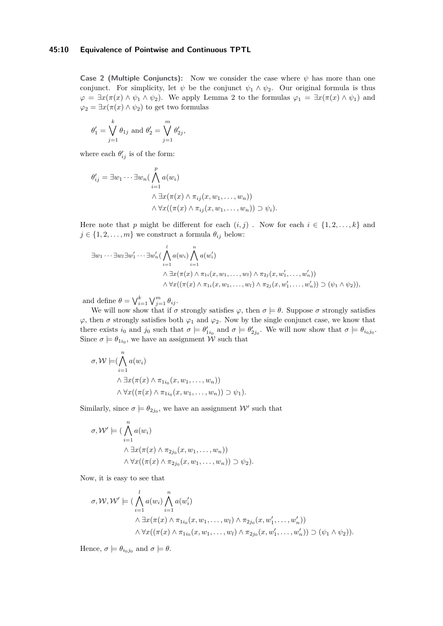#### **45:10 Equivalence of Pointwise and Continuous TPTL**

**Case 2 (Multiple Conjuncts):** Now we consider the case where *ψ* has more than one conjunct. For simplicity, let  $\psi$  be the conjunct  $\psi_1 \wedge \psi_2$ . Our original formula is thus  $\varphi = \exists x (\pi(x) \land \psi_1 \land \psi_2)$ . We apply Lemma [2](#page-7-0) to the formulas  $\varphi_1 = \exists x (\pi(x) \land \psi_1)$  and  $\varphi_2 = \exists x (\pi(x) \land \psi_2)$  to get two formulas

$$
\theta'_1 = \bigvee_{j=1}^k \theta_{1j}
$$
 and  $\theta'_2 = \bigvee_{j=1}^m \theta'_{2j}$ ,

where each  $\theta'_{ij}$  is of the form:

$$
\theta'_{ij} = \exists w_1 \cdots \exists w_n \left( \bigwedge_{i=1}^p a(w_i) \right. \\ \left. \qquad \qquad \wedge \exists x (\pi(x) \land \pi_{ij}(x, w_1, \dots, w_n)) \right. \\ \left. \qquad \qquad \wedge \forall x ((\pi(x) \land \pi_{ij}(x, w_1, \dots, w_n)) \supset \psi_i).
$$

Here note that *p* might be different for each  $(i, j)$ . Now for each  $i \in \{1, 2, \ldots, k\}$  and  $j \in \{1, 2, \ldots, m\}$  we construct a formula  $\theta_{ij}$  below:

$$
\exists w_1 \cdots \exists w_l \exists w'_1 \cdots \exists w'_n (\bigwedge_{i=1}^l a(w_i) \bigwedge_{i=1}^n a(w'_i) \qquad \qquad \wedge \exists x (\pi(x) \land \pi_{1i}(x, w_1, \ldots, w_l) \land \pi_{2j}(x, w'_1, \ldots, w'_n)) \qquad \qquad \wedge \forall x ((\pi(x) \land \pi_{1i}(x, w_1, \ldots, w_l) \land \pi_{2j}(x, w'_1, \ldots, w'_n)) \supset (\psi_1 \land \psi_2)),
$$

and define  $\theta = \bigvee_{i=1}^{k} \bigvee_{j=1}^{m} \theta_{ij}$ .

We will now show that if  $\sigma$  strongly satisfies  $\varphi$ , then  $\sigma \models \theta$ . Suppose  $\sigma$  strongly satisfies  $\varphi$ , then  $\sigma$  strongly satisfies both  $\varphi_1$  and  $\varphi_2$ . Now by the single conjunct case, we know that there exists  $i_0$  and  $j_0$  such that  $\sigma \models \theta'_{1i_0}$  and  $\sigma \models \theta'_{2j_0}$ . We will now show that  $\sigma \models \theta_{i_0j_0}$ . Since  $\sigma \models \theta_{1i_0}$ , we have an assignment W such that

$$
\sigma, \mathcal{W} \models (\bigwedge_{i=1}^{n} a(w_i) \land \exists x (\pi(x) \land \pi_{1i_0}(x, w_1, \dots, w_n)) \land \forall x ((\pi(x) \land \pi_{1i_0}(x, w_1, \dots, w_n)) \supset \psi_1).
$$

Similarly, since  $\sigma \models \theta_{2j_0}$ , we have an assignment  $\mathcal{W}'$  such that

$$
\sigma, \mathcal{W}' \models (\bigwedge_{i=1}^{n} a(w_i) \land \exists x (\pi(x) \land \pi_{2j_0}(x, w_1, \dots, w_n)) \land \forall x ((\pi(x) \land \pi_{2j_0}(x, w_1, \dots, w_n)) \supset \psi_2).
$$

Now, it is easy to see that

$$
\sigma, \mathcal{W}, \mathcal{W}' \models (\bigwedge_{i=1}^{l} a(w_i) \bigwedge_{i=1}^{n} a(w'_i) \qquad \qquad \wedge \exists x (\pi(x) \land \pi_{1i_0}(x, w_1, \dots, w_l) \land \pi_{2j_0}(x, w'_1, \dots, w'_n)) \qquad \qquad \wedge \forall x ((\pi(x) \land \pi_{1i_0}(x, w_1, \dots, w_l) \land \pi_{2j_0}(x, w'_1, \dots, w'_n)) \supset (\psi_1 \land \psi_2)).
$$

Hence,  $\sigma \models \theta_{i_0j_0}$  and  $\sigma \models \theta$ .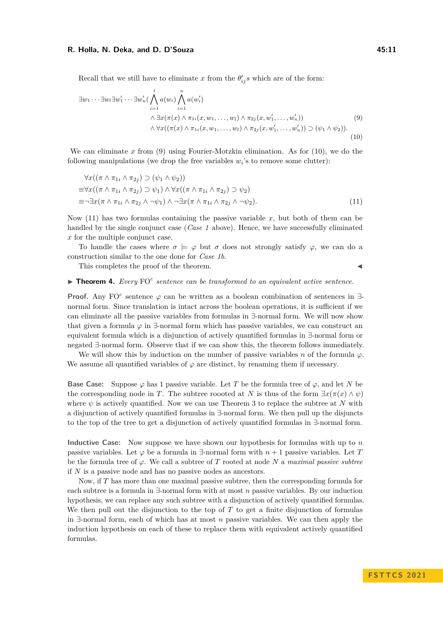Recall that we still have to eliminate x from the  $\theta'_{ij}s$  which are of the form:

<span id="page-10-1"></span><span id="page-10-0"></span>
$$
\exists w_1 \cdots \exists w_l \exists w'_1 \cdots \exists w'_n \left( \bigwedge_{i=1}^l a(w_i) \bigwedge_{i=1}^n a(w'_i) \right. \\ \left. \qquad \qquad \wedge \exists x (\pi(x) \land \pi_{1i}(x, w_1, \ldots, w_l) \land \pi_{2j}(x, w'_1, \ldots, w'_n)) \right) \\ \qquad \qquad \wedge \forall x ((\pi(x) \land \pi_{1i}(x, w_1, \ldots, w_l) \land \pi_{2j}(x, w'_1, \ldots, w'_n)) \supset (\psi_1 \land \psi_2)). \tag{10}
$$

We can eliminate x from [\(9\)](#page-10-0) using Fourier-Motzkin elimination. As for [\(10\)](#page-10-1), we do the following manipulations (we drop the free variables  $w_i$ 's to remove some clutter):

<span id="page-10-2"></span>
$$
\forall x ((\pi \wedge \pi_{1i} \wedge \pi_{2j}) \supset (\psi_1 \wedge \psi_2))
$$
  
\n
$$
\equiv \forall x ((\pi \wedge \pi_{1i} \wedge \pi_{2j}) \supset \psi_1) \wedge \forall x ((\pi \wedge \pi_{1i} \wedge \pi_{2j}) \supset \psi_2)
$$
  
\n
$$
\equiv \neg \exists x (\pi \wedge \pi_{1i} \wedge \pi_{2j} \wedge \neg \psi_1) \wedge \neg \exists x (\pi \wedge \pi_{1i} \wedge \pi_{2j} \wedge \neg \psi_2).
$$
\n(11)

Now [\(11\)](#page-10-2) has two formulas containing the passive variable *x*, but both of them can be handled by the single conjunct case (*Case 1* above). Hence, we have successfully eliminated *x* for the multiple conjunct case.

To handle the cases where  $\sigma \models \varphi$  but  $\sigma$  does not strongly satisfy  $\varphi$ , we can do a construction similar to the one done for *Case 1b*.

This completes the proof of the theorem.

 $\blacktriangleright$  **Theorem 4.** *Every* FO<sup>c</sup> sentence can be transformed to an equivalent active sentence.

**Proof.** Any FO<sup>c</sup> sentence  $\varphi$  can be written as a boolean combination of sentences in  $\exists$ normal form. Since translation is intact across the boolean operations, it is sufficient if we can eliminate all the passive variables from formulas in ∃-normal form. We will now show that given a formula  $\varphi$  in  $\exists$ -normal form which has passive variables, we can construct an equivalent formula which is a disjunction of actively quantified formulas in ∃-normal form or negated ∃-normal form. Observe that if we can show this, the theorem follows immediately.

We will show this by induction on the number of passive variables *n* of the formula  $\varphi$ . We assume all quantified variables of  $\varphi$  are distinct, by renaming them if necessary.

**Base Case:** Suppose  $\varphi$  has 1 passive variable. Let *T* be the formula tree of  $\varphi$ , and let *N* be the corresponding node in *T*. The subtree roooted at *N* is thus of the form  $\exists x(\pi(x) \land \psi)$ where  $\psi$  is actively quantified. Now we can use Theorem [3](#page-7-1) to replace the subtree at *N* with a disjunction of actively quantified formulas in ∃-normal form. We then pull up the disjuncts to the top of the tree to get a disjunction of actively quantified formulas in ∃-normal form.

**Inductive Case:** Now suppose we have shown our hypothesis for formulas with up to *n* passive variables. Let  $\varphi$  be a formula in  $\exists$ -normal form with  $n+1$  passive variables. Let *T* be the formula tree of  $\varphi$ . We call a subtree of *T* rooted at node *N* a *maximal passive subtree* if *N* is a passive node and has no passive nodes as ancestors.

Now, if *T* has more than one maximal passive subtree, then the corresponding formula for each subtree is a formula in ∃-normal form with at most *n* passive variables. By our induction hypothesis, we can replace any such subtree with a disjunction of actively quantified formulas. We then pull out the disjunction to the top of *T* to get a finite disjunction of formulas in ∃-normal form, each of which has at most *n* passive variables. We can then apply the induction hypothesis on each of these to replace them with equivalent actively quantified formulas.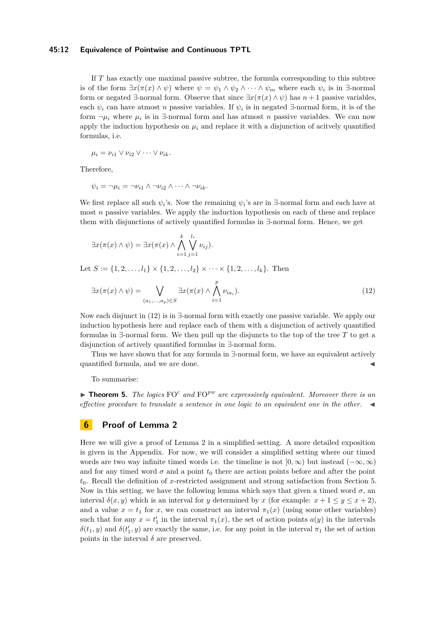#### **45:12 Equivalence of Pointwise and Continuous TPTL**

If *T* has exactly one maximal passive subtree, the formula corresponding to this subtree is of the form  $\exists x (\pi(x) \land \psi)$  where  $\psi = \psi_1 \land \psi_2 \land \cdots \land \psi_m$  where each  $\psi_i$  is in  $\exists$ -normal form or negated  $\exists$ -normal form. Observe that since  $\exists x(\pi(x) \land \psi)$  has  $n+1$  passive variables, each  $\psi_i$  can have atmost *n* passive variables. If  $\psi_i$  is in negated  $\exists$ -normal form, it is of the form  $\neg \mu_i$  where  $\mu_i$  is in  $\exists$ -normal form and has atmost *n* passive variables. We can now apply the induction hypothesis on  $\mu_i$  and replace it with a disjunction of acityely quantified formulas, i.e.

$$
\mu_i = \nu_{i1} \vee \nu_{i2} \vee \cdots \vee \nu_{ik}.
$$

Therefore,

$$
\psi_i = \neg \mu_i = \neg \nu_{i1} \land \neg \nu_{i2} \land \dots \land \neg \nu_{ik}.
$$

We first replace all such  $\psi_i$ 's. Now the remaining  $\psi_i$ 's are in ∃-normal form and each have at most *n* passive variables. We apply the induction hypothesis on each of these and replace them with disjunctions of actively quantified formulas in ∃-normal form. Hence, we get

$$
\exists x(\pi(x) \land \psi) = \exists x(\pi(x) \land \bigwedge_{i=1}^k \bigvee_{j=1}^{l_i} \nu_{ij}).
$$

Let  $S := \{1, 2, \ldots, l_1\} \times \{1, 2, \ldots, l_2\} \times \cdots \times \{1, 2, \ldots, l_k\}$ . Then

<span id="page-11-0"></span>
$$
\exists x(\pi(x) \land \psi) = \bigvee_{(a_1,\ldots,a_p)\in S} \exists x(\pi(x) \land \bigwedge_{i=1}^p \nu_{ia_i}).
$$
\n(12)

Now each disjunct in [\(12\)](#page-11-0) is in ∃-normal form with exactly one passive variable. We apply our induction hypothesis here and replace each of them with a disjunction of actively quantified formulas in ∃-normal form. We then pull up the disjuncts to the top of the tree *T* to get a disjunction of actively quantified formulas in ∃-normal form.

Thus we have shown that for any formula in ∃-normal form, we have an equivalent actively quantified formula, and we are done.

To summarise:

<span id="page-11-1"></span>**• Theorem 5.** *The logics*  $FO<sup>c</sup>$  *and*  $FO<sup>pw</sup>$  *are expressively equivalent. Moreover there is an effective procedure to translate a sentence in one logic to an equivalent one in the other.* ◀

# **6 Proof of Lemma [2](#page-7-0)**

Here we will give a proof of Lemma [2](#page-7-0) in a simplified setting. A more detailed exposition is given in the Appendix. For now, we will consider a simplified setting where our timed words are two way infinite timed words i.e. the timeline is not  $[0, \infty)$  but instead  $(-\infty, \infty)$ and for any timed word  $\sigma$  and a point  $t_0$  there are action points before and after the point *t*0. Recall the definition of *x*-restricted assignment and strong satisfaction from Section [5.](#page-5-2) Now in this setting, we have the following lemma which says that given a timed word  $\sigma$ , an interval  $\delta(x, y)$  which is an interval for *y* determined by *x* (for example:  $x + 1 \le y \le x + 2$ ), and a value  $x = t_1$  for *x*, we can construct an interval  $\pi_1(x)$  (using some other variables) such that for any  $x = t'_1$  in the interval  $\pi_1(x)$ , the set of action points  $a(y)$  in the intervals  $\delta(t_1, y)$  and  $\delta(t_1', y)$  are exactly the same, i.e. for any point in the interval  $\pi_1$  the set of action points in the interval  $\delta$  are preserved.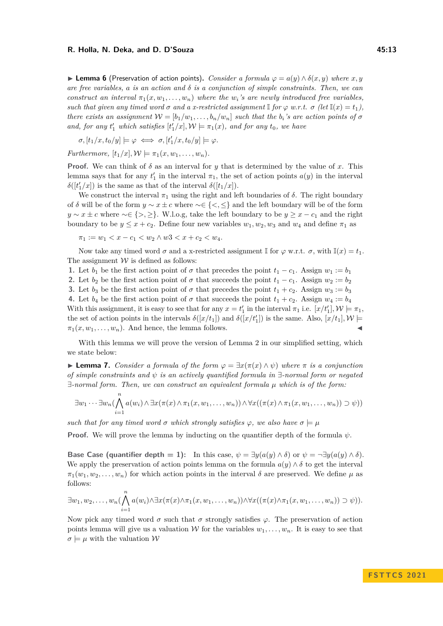**► Lemma 6** (Preservation of action points). *Consider a formula*  $\varphi = a(y) \wedge \delta(x, y)$  *where x, y are free variables, a is an action and*  $\delta$  *is a conjunction of simple constraints. Then, we can construct an interval*  $\pi_1(x, w_1, \ldots, w_n)$  *where the*  $w_i$ *'s are newly introduced free variables, such that given any timed word*  $\sigma$  *and*  $a$  *x*-restricted assignment  $\mathbb{I}$  *for*  $\varphi$  *w.r.t.*  $\sigma$  (let  $\mathbb{I}(x) = t_1$ ), *there exists an assignment*  $W = [b_1/w_1, \ldots, b_n/w_n]$  *such that the*  $b_i$ *'s are action points of*  $\sigma$ *and, for any*  $t'_1$  *which satisfies*  $[t'_1/x]$ ,  $\mathcal{W} \models \pi_1(x)$ *, and for any*  $t_0$ *, we have* 

$$
\sigma, [t_1/x, t_0/y] \models \varphi \iff \sigma, [t_1'/x, t_0/y] \models \varphi.
$$

*Furthermore,*  $[t_1/x]$ ,  $\mathcal{W} \models \pi_1(x, w_1, \ldots, w_n)$ .

**Proof.** We can think of  $\delta$  as an interval for *y* that is determined by the value of *x*. This lemma says that for any  $t'_1$  in the interval  $\pi_1$ , the set of action points  $a(y)$  in the interval  $\delta([t'_1/x])$  is the same as that of the interval  $\delta([t_1/x])$ .

We construct the interval  $\pi_1$  using the right and left boundaries of  $\delta$ . The right boundary of *δ* will be of the form  $y \sim x \pm c$  where  $\sim \in \{<,\leq\}$  and the left boundary will be of the form *y* ∼ *x* ± *c* where ∼∈ {>, ≥}. W.l.o.g, take the left boundary to be *y* ≥ *x* − *c*<sub>1</sub> and the right boundary to be  $y \leq x + c_2$ . Define four new variables  $w_1, w_2, w_3$  and  $w_4$  and define  $\pi_1$  as

$$
\pi_1 := w_1 < x - c_1 < w_2 \land w3 < x + c_2 < w_4.
$$

Now take any timed word  $\sigma$  and a x-restricted assignment I for  $\varphi$  w.r.t.  $\sigma$ , with  $\mathbb{I}(x) = t_1$ . The assignment  $W$  is defined as follows:

**1.** Let  $b_1$  be the first action point of  $\sigma$  that precedes the point  $t_1 - c_1$ . Assign  $w_1 := b_1$ **2.** Let  $b_2$  be the first action point of  $\sigma$  that succeeds the point  $t_1 - c_1$ . Assign  $w_2 := b_2$ **3.** Let  $b_3$  be the first action point of  $\sigma$  that precedes the point  $t_1 + c_2$ . Assign  $w_3 := b_3$ **4.** Let  $b_4$  be the first action point of  $\sigma$  that succeeds the point  $t_1 + c_2$ . Assign  $w_4 := b_4$ With this assignment, it is easy to see that for any  $x = t'_1$  in the interval  $\pi_1$  i.e.  $[x/t'_1]$ ,  $\mathcal{W} \models \pi_1$ , the set of action points in the intervals  $\delta([x/t_1])$  and  $\delta([x/t'_1])$  is the same. Also,  $[x/t_1]$ ,  $\mathcal{W} \models$  $\pi_1(x, w_1, \ldots, w_n)$ . And hence, the lemma follows.

With this lemma we will prove the version of Lemma [2](#page-7-0) in our simplified setting, which we state below:

▶ **Lemma 7.** *Consider a formula of the form φ* = ∃*x*(*π*(*x*) ∧ *ψ*) *where π is a conjunction of simple constraints and ψ is an actively quantified formula in* ∃*-normal form or negated* ∃*-normal form. Then, we can construct an equivalent formula µ which is of the form:*

$$
\exists w_1 \cdots \exists w_n (\bigwedge_{i=1}^n a(w_i) \wedge \exists x (\pi(x) \wedge \pi_1(x, w_1, \ldots, w_n)) \wedge \forall x ((\pi(x) \wedge \pi_1(x, w_1, \ldots, w_n)) \supset \psi))
$$

*such that for any timed word*  $\sigma$  *which strongly satisfies*  $\varphi$ *, we also have*  $\sigma \models \mu$ 

**Proof.** We will prove the lemma by inducting on the quantifier depth of the formula  $\psi$ .

**Base Case (quantifier depth = 1):** In this case,  $\psi = \exists y(a(y) \land \delta)$  or  $\psi = \neg \exists y(a(y) \land \delta)$ . We apply the preservation of action points lemma on the formula  $a(y) \wedge \delta$  to get the interval  $\pi_1(w_1, w_2, \ldots, w_n)$  for which action points in the interval  $\delta$  are preserved. We define  $\mu$  as follows:

$$
\exists w_1, w_2, \ldots, w_n \left( \bigwedge_{i=1}^n a(w_i) \wedge \exists x (\pi(x) \wedge \pi_1(x, w_1, \ldots, w_n)) \wedge \forall x ((\pi(x) \wedge \pi_1(x, w_1, \ldots, w_n)) \supset \psi).
$$

Now pick any timed word  $\sigma$  such that  $\sigma$  strongly satisfies  $\varphi$ . The preservation of action points lemma will give us a valuation W for the variables  $w_1, \ldots, w_n$ . It is easy to see that  $\sigma \models \mu$  with the valuation  $\mathcal W$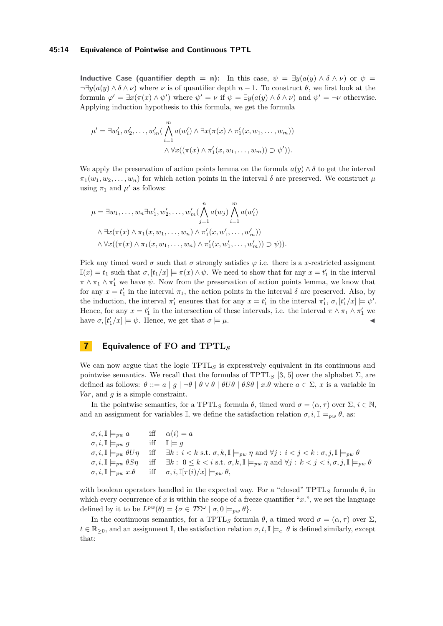#### **45:14 Equivalence of Pointwise and Continuous TPTL**

**Inductive Case (quantifier depth = n):** In this case,  $\psi = \exists y (a(y) \land \delta \land \nu)$  or  $\psi =$  $\neg \exists y(a(y) \land \delta \land \nu)$  where  $\nu$  is of quantifier depth  $n-1$ . To construct  $\theta$ , we first look at the formula  $\varphi' = \exists x (\pi(x) \land \psi')$  where  $\psi' = \nu$  if  $\psi = \exists y (a(y) \land \delta \land \nu)$  and  $\psi' = \neg \nu$  otherwise. Applying induction hypothesis to this formula, we get the formula

$$
\mu' = \exists w'_1, w'_2, \dots, w'_m \left( \bigwedge_{i=1}^m a(w'_i) \land \exists x (\pi(x) \land \pi'_1(x, w_1, \dots, w_m))
$$

$$
\land \forall x ((\pi(x) \land \pi'_1(x, w_1, \dots, w_m)) \supset \psi').
$$

We apply the preservation of action points lemma on the formula  $a(y) \wedge \delta$  to get the interval  $\pi_1(w_1, w_2, \ldots, w_n)$  for which action points in the interval  $\delta$  are preserved. We construct  $\mu$ using  $\pi_1$  and  $\mu'$  as follows:

$$
\mu = \exists w_1, \dots, w_n \exists w'_1, w'_2, \dots, w'_m \left(\bigwedge_{j=1}^n a(w_j) \bigwedge_{i=1}^m a(w'_i)\right)
$$
  

$$
\wedge \exists x (\pi(x) \wedge \pi_1(x, w_1, \dots, w_n) \wedge \pi'_1(x, w'_1, \dots, w'_m))
$$
  

$$
\wedge \forall x ((\pi(x) \wedge \pi_1(x, w_1, \dots, w_n) \wedge \pi'_1(x, w'_1, \dots, w'_m)) \supset \psi).
$$

Pick any timed word  $\sigma$  such that  $\sigma$  strongly satisfies  $\varphi$  i.e. there is a *x*-restricted assigment  $\mathbb{I}(x) = t_1$  such that  $\sigma$ ,  $[t_1/x] \models \pi(x) \land \psi$ . We need to show that for any  $x = t_1'$  in the interval  $\pi \wedge \pi_1 \wedge \pi'_1$  we have  $\psi$ . Now from the preservation of action points lemma, we know that for any  $x = t'_1$  in the interval  $\pi_1$ , the action points in the interval  $\delta$  are preserved. Also, by the induction, the interval  $\pi'_1$  ensures that for any  $x = t'_1$  in the interval  $\pi'_1$ ,  $\sigma$ ,  $[t'_1/x] \models \psi'.$ Hence, for any  $x = t'_1$  in the intersection of these intervals, i.e. the interval  $\pi \wedge \pi_1 \wedge \pi'_1$  we have  $\sigma$ ,  $[t'_1/x] \models \psi$ . Hence, we get that  $\sigma \models \mu$ .

### <span id="page-13-0"></span>**7 Equivalence of FO and TPTL***<sup>S</sup>*

We can now argue that the logic TPTL<sub>S</sub> is expressively equivalent in its continuous and pointwise semantics. We recall that the formulas of TPTL<sub>S</sub> [\[3,](#page-15-4) [5\]](#page-15-6) over the alphabet  $\Sigma$ , are defined as follows:  $\theta ::= a \mid g \mid \neg \theta \mid \theta \vee \theta \mid \theta U \theta \mid \theta S \theta \mid x.\theta$  where  $a \in \Sigma$ , x is a variable in *Var*, and *g* is a simple constraint.

In the pointwise semantics, for a TPTL<sub>S</sub> formula  $\theta$ , timed word  $\sigma = (\alpha, \tau)$  over  $\Sigma$ ,  $i \in \mathbb{N}$ , and an assignment for variables I, we define the satisfaction relation  $\sigma, i, \mathbb{I} \models_{pw} \theta$ , as:

| $\sigma, i, \mathbb{I} \models_{vw} a$            | iff $\alpha(i) = a$                                                                                                                                                                                                  |
|---------------------------------------------------|----------------------------------------------------------------------------------------------------------------------------------------------------------------------------------------------------------------------|
| $\sigma, i, \mathbb{I} \models_{vw} g$            | iff $\mathbb{I} \models q$                                                                                                                                                                                           |
| $\sigma, i, \mathbb{I} \models_{pw} \theta U\eta$ | iff $\exists k : i < k \text{ s.t. } \sigma, k, \mathbb{I} \models_{pw} \eta \text{ and } \forall j : i < j < k : \sigma, j, \mathbb{I} \models_{pw} \theta$                                                         |
|                                                   | $\sigma, i, \mathbb{I} \models_{pw} \theta S\eta$ iff $\exists k : 0 \leq k < i \text{ s.t. } \sigma, k, \mathbb{I} \models_{pw} \eta \text{ and } \forall j : k < j < i, \sigma, j, \mathbb{I} \models_{pw} \theta$ |
| $\sigma, i, \mathbb{I} \models_{pw} x.\theta$     | iff $\sigma, i, \mathbb{I}[\tau(i)/x] \models_{pw} \theta,$                                                                                                                                                          |

with boolean operators handled in the expected way. For a "closed"  $TPTL<sub>S</sub>$  formula  $\theta$ , in which every occurrence of  $x$  is within the scope of a freeze quantifier " $x$ .", we set the language defined by it to be  $L^{pw}(\theta) = {\sigma \in T\Sigma^{\omega} \mid \sigma, 0 \models_{pw} \theta}.$ 

In the continuous semantics, for a TPTL<sub>S</sub> formula *θ*, a timed word  $σ = (α, τ)$  over Σ,  $t \in \mathbb{R}_{\geq 0}$ , and an assignment I, the satisfaction relation  $\sigma, t, \mathbb{I} \models_c \theta$  is defined similarly, except that: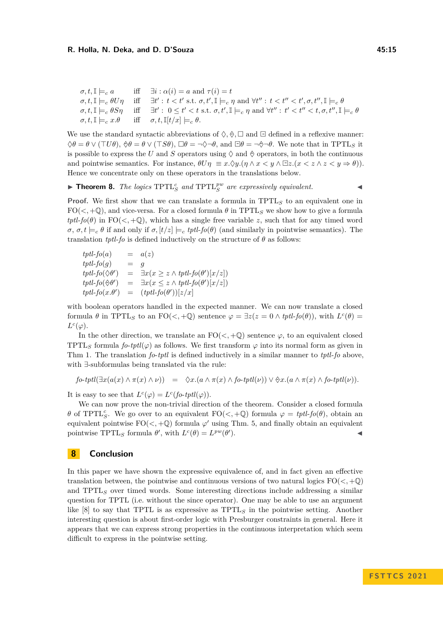| $\sigma, t, \mathbb{I} \models_c a$ | iff $\exists i : \alpha(i) = a$ and $\tau(i) = t$                                                                                                                                                                                            |
|-------------------------------------|----------------------------------------------------------------------------------------------------------------------------------------------------------------------------------------------------------------------------------------------|
|                                     | $\sigma, t, \mathbb{I} \models_c \theta U \eta \quad \text{ iff } \quad \exists t' : t < t' \text{ s.t. } \sigma, t', \mathbb{I} \models_c \eta \text{ and } \forall t'' : t < t'' < t', \sigma, t'', \mathbb{I} \models_c \theta$           |
|                                     | $\sigma, t, \mathbb{I} \models_c \theta S \eta \quad \text{ iff } \quad \exists t': \ 0 \leq t' < t \text{ s.t. } \sigma, t', \mathbb{I} \models_c \eta \text{ and } \forall t'' : \ t' < t'' < t, \sigma, t'', \mathbb{I} \models_c \theta$ |
|                                     | $\sigma, t, \mathbb{I} \models_c x.\theta$ iff $\sigma, t, \mathbb{I}[t/x] \models_c \theta$ .                                                                                                                                               |

We use the standard syntactic abbreviations of  $\Diamond$ ,  $\Diamond$ ,  $\Box$  and  $\Box$  defined in a reflexive manner:  $\Diamond \theta = \theta \lor (\top U \theta)$ ,  $\Diamond \theta = \theta \lor (\top S \theta)$ ,  $\Box \theta = \neg \Diamond \neg \theta$ , and  $\Box \theta = \neg \Diamond \neg \theta$ . We note that in TPTL<sub>S</sub> it is possible to express the *U* and *S* operators using  $\Diamond$  and  $\Diamond$  operators, in both the continuous and pointwise semantics. For instance,  $\theta U\eta \equiv x.\Diamond y.(\eta \land x \lt y \land \Box z.(x \lt z \land z \lt y \Rightarrow \theta)).$ Hence we concentrate only on these operators in the translations below.

 $\blacktriangleright$  **Theorem 8.** *The logics*  $TPTL_S^c$  *and*  $TPTL_S^{pw}$  *are expressively equivalent.* 

**Proof.** We first show that we can translate a formula in TPTL<sub>S</sub> to an equivalent one in  $FO(<, +Q)$ , and vice-versa. For a closed formula  $\theta$  in TPTL<sub>S</sub> we show how to give a formula  $tptl$ -*fo*( $\theta$ ) in FO( $\lt$ , +Q), which has a single free variable *z*, such that for any timed word *σ*, *σ*, *t*  $\models$ *c θ* if and only if *σ*,  $[t/z] \models$ *c tptl-fo*(*θ*) (and similarly in pointwise semantics). The translation *tptl-fo* is defined inductively on the structure of  $\theta$  as follows:

 $tptl$ -*fo*(*a*) =  $a(z)$  $tptl$ -*fo*(*g*) = *g*  $tptl$ -*fo*( $\diamond$ *θ*' ) = ∃*x*(*x* ≥ *z* ∧ *tptl*-*fo*(*θ* ′ )[*x/z*])  $tptl$ -*fo*( $\diamondsuit \theta'$ ) = ∃*x*(*x* ≤ *z* ∧ *tptl*-*fo*(*θ* ′ )[*x/z*])  $tptl$ -*fo*( $x.\theta'$ ) = ( $tptl$ -*fo*( $\theta'$ ))[ $z/x$ ]

with boolean operators handled in the expected manner. We can now translate a closed formula  $\theta$  in TPTL<sub>S</sub> to an FO(<, +Q) sentence  $\varphi = \exists z(z = 0 \land \text{tptl-fo}(\theta))$ , with  $L^{c}(\theta) =$  $L^c(\varphi)$ .

In the other direction, we translate an  $FO(<, +\mathbb{Q})$  sentence  $\varphi$ , to an equivalent closed TPTL<sub>S</sub> formula  $fo$ - $ptl(\varphi)$  as follows. We first transform  $\varphi$  into its normal form as given in Thm [1.](#page-3-1) The translation *fo*-*tptl* is defined inductively in a similar manner to *tptl*-*fo* above, with ∃-subformulas being translated via the rule:

$$
\text{for } \text{ptl}(\exists x (a(x) \land \pi(x) \land \nu)) = \Diamond x.(a \land \pi(x) \land \text{for } \text{ptl}(\nu)) \lor \Diamond x.(a \land \pi(x) \land \text{for } \text{ptl}(\nu)).
$$

It is easy to see that  $L^c(\varphi) = L^c(\text{for-}tptl(\varphi)).$ 

We can now prove the non-trivial direction of the theorem. Consider a closed formula *θ* of TPTL<sup>*c*</sup>. We go over to an equivalent  $FO(<, +Q)$  formula  $\varphi = \text{tptl-fo}(\theta)$ , obtain an equivalent pointwise  $FO(<, +Q)$  formula  $\varphi'$  using Thm. [5,](#page-11-1) and finally obtain an equivalent pointwise TPTL<sub>S</sub> formula  $\theta'$ , with  $L^c(\theta) = L^{pw}(\theta')$  $\blacksquare$ ).

# **8 Conclusion**

In this paper we have shown the expressive equivalence of, and in fact given an effective translation between, the pointwise and continuous versions of two natural logics  $FO(<, +Q)$ and TPTL*<sup>S</sup>* over timed words. Some interesting directions include addressing a similar question for TPTL (i.e. without the since operator). One may be able to use an argument like [\[8\]](#page-15-13) to say that TPTL is as expressive as TPTL*<sup>S</sup>* in the pointwise setting. Another interesting question is about first-order logic with Presburger constraints in general. Here it appears that we can express strong properties in the continuous interpretation which seem difficult to express in the pointwise setting.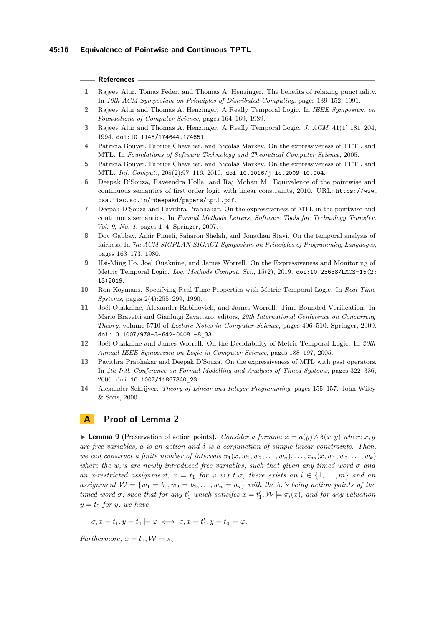#### **References**

- <span id="page-15-1"></span>**1** Rajeev Alur, Tomas Feder, and Thomas A. Henzinger. The benefits of relaxing punctuality. In *10th ACM Symposium on Principles of Distributed Computing*, pages 139–152, 1991.
- <span id="page-15-3"></span>**2** Rajeev Alur and Thomas A. Henzinger. A Really Temporal Logic. In *IEEE Symposium on Foundations of Computer Science*, pages 164–169, 1989.
- <span id="page-15-4"></span>**3** Rajeev Alur and Thomas A. Henzinger. A Really Temporal Logic. *J. ACM*, 41(1):181–204, 1994. [doi:10.1145/174644.174651](https://doi.org/10.1145/174644.174651).
- <span id="page-15-5"></span>**4** Patricia Bouyer, Fabrice Chevalier, and Nicolas Markey. On the expressiveness of TPTL and MTL. In *Foundations of Software Technology and Theoretical Computer Science*, 2005.
- <span id="page-15-6"></span>**5** Patricia Bouyer, Fabrice Chevalier, and Nicolas Markey. On the expressiveness of TPTL and MTL. *Inf. Comput.*, 208(2):97–116, 2010. [doi:10.1016/j.ic.2009.10.004](https://doi.org/10.1016/j.ic.2009.10.004).
- <span id="page-15-11"></span>**6** Deepak D'Souza, Raveendra Holla, and Raj Mohan M. Equivalence of the pointwise and continuous semantics of first order logic with linear constraints, 2010. URL: [https://www.](https://www.csa.iisc.ac.in/~deepakd/papers/tptl.pdf) [csa.iisc.ac.in/~deepakd/papers/tptl.pdf](https://www.csa.iisc.ac.in/~deepakd/papers/tptl.pdf).
- <span id="page-15-8"></span>**7** Deepak D'Souza and Pavithra Prabhakar. On the expressiveness of MTL in the pointwise and continuous semantics. In *Formal Methods Letters, Software Tools for Technology Transfer, Vol. 9, No. 1*, pages 1–4. Springer, 2007.
- <span id="page-15-13"></span>**8** Dov Gabbay, Amir Pnueli, Saharon Shelah, and Jonathan Stavi. On the temporal analysis of fairness. In *7th ACM SIGPLAN-SIGACT Symposium on Principles of Programming Languages*, pages 163–173, 1980.
- <span id="page-15-9"></span>**9** Hsi-Ming Ho, Joël Ouaknine, and James Worrell. On the Expressiveness and Monitoring of Metric Temporal Logic. *Log. Methods Comput. Sci.*, 15(2), 2019. [doi:10.23638/LMCS-15\(2:](https://doi.org/10.23638/LMCS-15(2:13)2019) [13\)2019](https://doi.org/10.23638/LMCS-15(2:13)2019).
- <span id="page-15-0"></span>**10** Ron Koymans. Specifying Real-Time Properties with Metric Temporal Logic. In *Real Time Systems*, pages 2(4):255–299, 1990.
- <span id="page-15-10"></span>**11** Joël Ouaknine, Alexander Rabinovich, and James Worrell. Time-Bounded Verification. In Mario Bravetti and Gianluigi Zavattaro, editors, *20th International Conference on Concurreny Theory*, volume 5710 of *Lecture Notes in Computer Science*, pages 496–510. Springer, 2009. [doi:10.1007/978-3-642-04081-8\\_33](https://doi.org/10.1007/978-3-642-04081-8_33).
- <span id="page-15-2"></span>**12** Joël Ouaknine and James Worrell. On the Decidability of Metric Temporal Logic. In *20th Annual IEEE Symposium on Logic in Computer Science*, pages 188–197, 2005.
- <span id="page-15-7"></span>**13** Pavithra Prabhakar and Deepak D'Souza. On the expressiveness of MTL with past operators. In *4th Intl. Conference on Formal Modelling and Analysis of Timed Systems*, pages 322–336, 2006. [doi:10.1007/11867340\\_23](https://doi.org/10.1007/11867340_23).
- <span id="page-15-12"></span>**14** Alexander Schrijver. *Theory of Linear and Integer Programming*, pages 155–157. John Wiley & Sons, 2000.

# **A Proof of Lemma [2](#page-7-0)**

▶ **Lemma 9** (Preservation of action points). *Consider a formula*  $\varphi = a(y) \wedge \delta(x, y)$  *where*  $x, y$ *are free variables, a is an action and δ is a conjunction of simple linear constraints. Then, we can construct a finite number of intervals*  $\pi_1(x, w_1, w_2, \ldots, w_n), \ldots, \pi_m(x, w_1, w_2, \ldots, w_k)$ *where the*  $w_i$ 's are newly introduced free variables, such that given any timed word  $\sigma$  and *an x-restricted assignment,*  $x = t_1$  *for*  $\varphi$  *w.r.t*  $\sigma$ *, there exists an*  $i \in \{1, \ldots, m\}$  *and an assignment*  $W = \{w_1 = b_1, w_2 = b_2, \ldots, w_n = b_n\}$  *with the*  $b_i$ *'s being action points of the timed word*  $\sigma$ *, such that for any*  $t'_1$  *which satisifes*  $x = t'_1, \mathcal{W} \models \pi_i(x)$ *, and for any valuation*  $y = t_0$  *for y, we have* 

 $\sigma, x = t_1, y = t_0 \models \varphi \iff \sigma, x = t'_1, y = t_0 \models \varphi.$ 

*Furthermore,*  $x = t_1, \mathcal{W} \models \pi_i$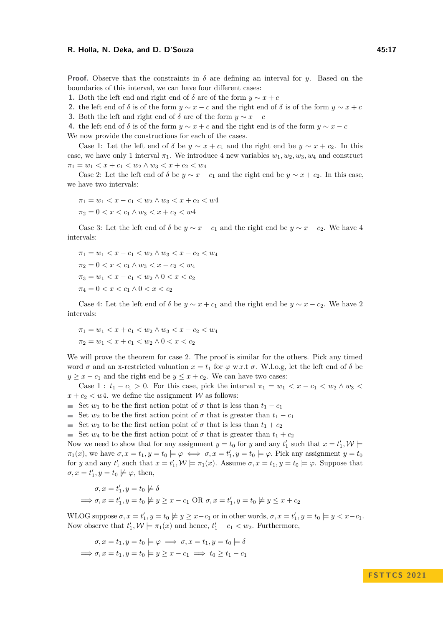**Proof.** Observe that the constraints in  $\delta$  are defining an interval for *y*. Based on the boundaries of this interval, we can have four different cases:

**1.** Both the left end and right end of  $\delta$  are of the form  $y \sim x + c$ 

**2.** the left end of  $\delta$  is of the form  $y \sim x - c$  and the right end of  $\delta$  is of the form  $y \sim x + c$ 

**3.** Both the left and right end of  $\delta$  are of the form  $y \sim x - c$ 

**4.** the left end of  $\delta$  is of the form  $y \sim x + c$  and the right end is of the form  $y \sim x - c$ 

We now provide the constructions for each of the cases.

Case 1: Let the left end of  $\delta$  be  $y \sim x + c_1$  and the right end be  $y \sim x + c_2$ . In this case, we have only 1 interval  $\pi_1$ . We introduce 4 new variables  $w_1, w_2, w_3, w_4$  and construct  $\pi_1 = w_1 < x + c_1 < w_2 \wedge w_3 < x + c_2 < w_4$ 

Case 2: Let the left end of  $\delta$  be  $y \sim x - c_1$  and the right end be  $y \sim x + c_2$ . In this case, we have two intervals:

$$
\pi_1 = w_1 < x - c_1 < w_2 \land w_3 < x + c_2 < w4
$$
\n
$$
\pi_2 = 0 < x < c_1 \land w_3 < x + c_2 < w4
$$

Case 3: Let the left end of  $\delta$  be  $y \sim x - c_1$  and the right end be  $y \sim x - c_2$ . We have 4 intervals:

$$
\pi_1 = w_1 < x - c_1 < w_2 \land w_3 < x - c_2 < w_4
$$
\n
$$
\pi_2 = 0 < x < c_1 \land w_3 < x - c_2 < w_4
$$
\n
$$
\pi_3 = w_1 < x - c_1 < w_2 \land 0 < x < c_2
$$
\n
$$
\pi_4 = 0 < x < c_1 \land 0 < x < c_2
$$

Case 4: Let the left end of  $\delta$  be  $y \sim x + c_1$  and the right end be  $y \sim x - c_2$ . We have 2 intervals:

$$
\pi_1 = w_1 < x + c_1 < w_2 \land w_3 < x - c_2 < w_4
$$
\n
$$
\pi_2 = w_1 < x + c_1 < w_2 \land 0 < x < c_2
$$

We will prove the theorem for case 2. The proof is similar for the others. Pick any timed word  $\sigma$  and an x-restricted valuation  $x = t_1$  for  $\varphi$  w.r.t  $\sigma$ . W.l.o.g, let the left end of  $\delta$  be  $y \geq x - c_1$  and the right end be  $y \leq x + c_2$ . We can have two cases:

Case 1 :  $t_1 - c_1 > 0$ . For this case, pick the interval  $\pi_1 = w_1 < x - c_1 < w_2 \wedge w_3 <$  $x + c_2 < w$ 4. we define the assignment *W* as follows:

- Set *w*<sub>1</sub> to be the first action point of  $\sigma$  that is less than  $t_1 c_1$
- Set  $w_2$  to be the first action point of  $\sigma$  that is greater than  $t_1 c_1$
- Set  $w_3$  to be the first action point of  $\sigma$  that is less than  $t_1 + c_2$

Set  $w_4$  to be the first action point of  $\sigma$  that is greater than  $t_1 + c_2$ 

Now we need to show that for any assignment  $y = t_0$  for *y* and any  $t'_1$  such that  $x = t'_1, \mathcal{W} \models$  $\pi_1(x)$ , we have  $\sigma, x = t_1, y = t_0 \models \varphi \iff \sigma, x = t'_1, y = t_0 \models \varphi$ . Pick any assignment  $y = t_0$ for *y* and any  $t'_1$  such that  $x = t'_1$ ,  $\mathcal{W} \models \pi_1(x)$ . Assume  $\sigma, x = t_1, y = t_0 \models \varphi$ . Suppose that  $\sigma, x = t'_1, y = t_0 \not\models \varphi$ , then,

$$
\sigma, x = t'_1, y = t_0 \not\models \delta
$$
  

$$
\implies \sigma, x = t'_1, y = t_0 \not\models y \ge x - c_1 \text{ OR } \sigma, x = t'_1, y = t_0 \not\models y \le x + c_2
$$

WLOG suppose  $\sigma$ ,  $x = t'_1$ ,  $y = t_0 \not\models y \geq x - c_1$  or in other words,  $\sigma$ ,  $x = t'_1$ ,  $y = t_0 \models y < x - c_1$ . Now observe that  $t'_1, \mathcal{W} \models \pi_1(x)$  and hence,  $t'_1 - c_1 < w_2$ . Furthermore,

$$
\sigma, x = t_1, y = t_0 \models \varphi \implies \sigma, x = t_1, y = t_0 \models \delta
$$
  

$$
\implies \sigma, x = t_1, y = t_0 \models y \ge x - c_1 \implies t_0 \ge t_1 - c_1
$$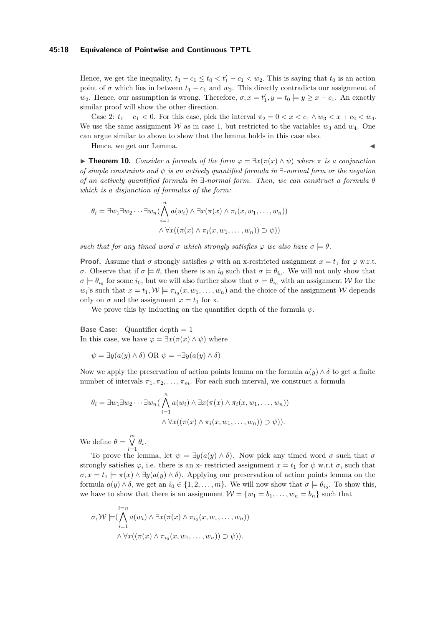#### **45:18 Equivalence of Pointwise and Continuous TPTL**

Hence, we get the inequality,  $t_1 - c_1 \le t_0 < t'_1 - c_1 < w_2$ . This is saying that  $t_0$  is an action point of  $\sigma$  which lies in between  $t_1 - c_1$  and  $w_2$ . This directly contradicts our assignment of *w*<sub>2</sub>. Hence, our assumption is wrong. Therefore,  $\sigma$ ,  $x = t'_1$ ,  $y = t_0 \models y \geq x - c_1$ . An exactly similar proof will show the other direction.

Case 2:  $t_1 - c_1 < 0$ . For this case, pick the interval  $\pi_2 = 0 < x < c_1 \wedge w_3 < x + c_2 < w_4$ . We use the same assignment  $W$  as in case 1, but restricted to the variables  $w_3$  and  $w_4$ . One can argue similar to above to show that the lemma holds in this case also.

Hence, we get our Lemma.

▶ **Theorem 10.** *Consider a formula of the form φ* = ∃*x*(*π*(*x*) ∧ *ψ*) *where π is a conjunction of simple constraints and ψ is an actively quantified formula in* ∃*-normal form or the negation of an actively quantified formula in* ∃*-normal form. Then, we can construct a formula θ which is a disjunction of formulas of the form:*

$$
\theta_i = \exists w_1 \exists w_2 \cdots \exists w_n (\bigwedge_{i=1}^n a(w_i) \land \exists x (\pi(x) \land \pi_i(x, w_1, \dots, w_n))
$$

$$
\land \forall x ((\pi(x) \land \pi_i(x, w_1, \dots, w_n)) \supset \psi))
$$

*such that for any timed word*  $\sigma$  *which strongly satisfies*  $\varphi$  *we also have*  $\sigma \models \theta$ *.* 

**Proof.** Assume that  $\sigma$  strongly satisfies  $\varphi$  with an x-restricted assignment  $x = t_1$  for  $\varphi$  w.r.t. *σ*. Observe that if  $\sigma \models \theta$ , then there is an *i*<sub>0</sub> such that  $\sigma \models \theta_{i_0}$ . We will not only show that  $\sigma \models \theta_{i_0}$  for some  $i_0$ , but we will also further show that  $\sigma \models \theta_{i_0}$  with an assignment W for the  $w_i$ 's such that  $x = t_1, \mathcal{W} \models \pi_{i_0}(x, w_1, \dots, w_n)$  and the choice of the assignment W depends only on  $\sigma$  and the assignment  $x = t_1$  for x.

We prove this by inducting on the quantifier depth of the formula  $\psi$ .

**Base Case:** Quantifier depth  $= 1$ In this case, we have  $\varphi = \exists x (\pi(x) \land \psi)$  where

 $\psi = \exists y (a(y) \land \delta)$  OR  $\psi = \neg \exists y (a(y) \land \delta)$ 

Now we apply the preservation of action points lemma on the formula  $a(y) \wedge \delta$  to get a finite number of intervals  $\pi_1, \pi_2, \ldots, \pi_m$ . For each such interval, we construct a formula

$$
\theta_i = \exists w_1 \exists w_2 \cdots \exists w_n \big( \bigwedge_{i=1}^n a(w_i) \land \exists x (\pi(x) \land \pi_i(x, w_1, \dots, w_n))
$$

$$
\land \forall x ((\pi(x) \land \pi_i(x, w_1, \dots, w_n)) \supset \psi)).
$$

We define  $\theta = \bigvee^{m} \theta_i$ .

To prove the lemma, let  $\psi = \exists y (a(y) \land \delta)$ . Now pick any timed word  $\sigma$  such that  $\sigma$ strongly satisfies  $\varphi$ , i.e. there is an x- restricted assignment  $x = t_1$  for  $\psi$  w.r.t  $\sigma$ , such that  $\sigma, x = t_1 \models \pi(x) \land \exists y(a(y) \land \delta)$ . Applying our preservation of action points lemma on the formula  $a(y) \wedge \delta$ , we get an  $i_0 \in \{1, 2, \ldots, m\}$ . We will now show that  $\sigma \models \theta_{i_0}$ . To show this, we have to show that there is an assignment  $\mathcal{W} = \{w_1 = b_1, \ldots, w_n = b_n\}$  such that

$$
\sigma, \mathcal{W} \models (\bigwedge_{i=1}^{i=n} a(w_i) \land \exists x (\pi(x) \land \pi_{i_0}(x, w_1, \dots, w_n))
$$

$$
\land \forall x ((\pi(x) \land \pi_{i_0}(x, w_1, \dots, w_n)) \supset \psi)).
$$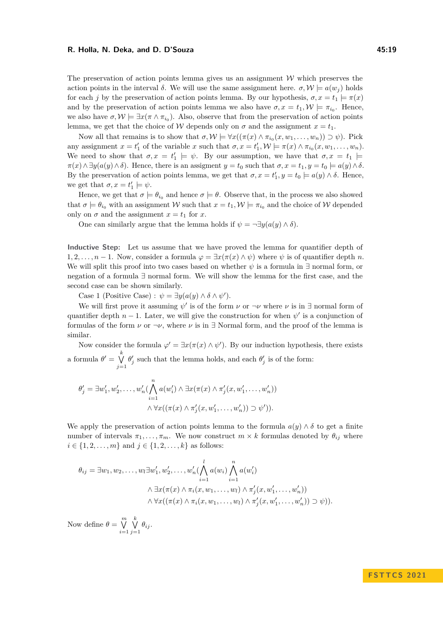The preservation of action points lemma gives us an assignment  $W$  which preserves the action points in the interval  $\delta$ . We will use the same assignment here.  $\sigma, \mathcal{W} \models a(w_i)$  holds for each *j* by the preservation of action points lemma. By our hypothesis,  $\sigma, x = t_1 \models \pi(x)$ and by the preservation of action points lemma we also have  $\sigma, x = t_1, \mathcal{W} \models \pi_{i_0}$ . Hence, we also have  $\sigma, \mathcal{W} \models \exists x (\pi \wedge \pi_{i_0})$ . Also, observe that from the preservation of action points lemma, we get that the choice of W depends only on  $\sigma$  and the assignment  $x = t_1$ .

Now all that remains is to show that  $\sigma, \mathcal{W} \models \forall x ((\pi(x) \land \pi_{i_0}(x, w_1, \dots, w_n)) \supset \psi)$ . Pick any assignment  $x = t'_1$  of the variable  $x$  such that  $\sigma, x = t'_1, \mathcal{W} \models \pi(x) \land \pi_{i_0}(x, w_1, \ldots, w_n)$ . We need to show that  $\sigma, x = t'_1 \models \psi$ . By our assumption, we have that  $\sigma, x = t_1 \models$  $\pi(x) \wedge \exists y (a(y) \wedge \delta)$ . Hence, there is an assigment  $y = t_0$  such that  $\sigma, x = t_1, y = t_0 \models a(y) \wedge \delta$ . By the preservation of action points lemma, we get that  $\sigma$ ,  $x = t'_1, y = t_0 \models a(y) \land \delta$ . Hence, we get that  $\sigma, x = t'_1 \models \psi$ .

Hence, we get that  $\sigma \models \theta_{i_0}$  and hence  $\sigma \models \theta$ . Observe that, in the process we also showed that  $\sigma \models \theta_{i_0}$  with an assignment W such that  $x = t_1, \mathcal{W} \models \pi_{i_0}$  and the choice of W depended only on  $\sigma$  and the assignment  $x = t_1$  for  $x$ .

One can similarly argue that the lemma holds if  $\psi = \neg \exists y (a(y) \land \delta)$ .

**Inductive Step:** Let us assume that we have proved the lemma for quantifier depth of 1, 2, ...,  $n-1$ . Now, consider a formula  $\varphi = \exists x (\pi(x) \land \psi)$  where  $\psi$  is of quantifier depth *n*. We will split this proof into two cases based on whether  $\psi$  is a formula in  $\exists$  normal form, or negation of a formula ∃ normal form. We will show the lemma for the first case, and the second case can be shown similarly.

Case 1 (Positive Case) :  $\psi = \exists y (a(y) \land \delta \land \psi')$ .

We will first prove it assuming  $\psi'$  is of the form  $\nu$  or  $\neg \nu$  where  $\nu$  is in  $\exists$  normal form of quantifier depth  $n-1$ . Later, we will give the construction for when  $\psi'$  is a conjunction of formulas of the form  $\nu$  or  $\nu$ , where  $\nu$  is in  $\exists$  Normal form, and the proof of the lemma is similar.

Now consider the formula  $\varphi' = \exists x (\pi(x) \land \psi')$ . By our induction hypothesis, there exists a formula  $\theta' = \bigvee^k$ *j*=1  $\theta'_{j}$  such that the lemma holds, and each  $\theta'_{j}$  is of the form:

$$
\theta'_j = \exists w'_1, w'_2, \dots, w'_n \left( \bigwedge_{i=1}^n a(w'_i) \land \exists x (\pi(x) \land \pi'_j(x, w'_1, \dots, w'_n))
$$

$$
\land \forall x ((\pi(x) \land \pi'_j(x, w'_1, \dots, w'_n)) \supset \psi').
$$

We apply the preservation of action points lemma to the formula  $a(y) \wedge \delta$  to get a finite number of intervals  $\pi_1, \ldots, \pi_m$ . We now construct  $m \times k$  formulas denoted by  $\theta_{ij}$  where  $i \in \{1, 2, ..., m\}$  and  $j \in \{1, 2, ..., k\}$  as follows:

$$
\theta_{ij} = \exists w_1, w_2, \dots, w_l \exists w'_1, w'_2, \dots, w'_n \left( \bigwedge_{i=1}^l a(w_i) \bigwedge_{i=1}^n a(w'_i) \right. \n\land \exists x (\pi(x) \land \pi_i(x, w_1, \dots, w_l) \land \pi'_j(x, w'_1, \dots, w'_n)) \n\land \forall x ((\pi(x) \land \pi_i(x, w_1, \dots, w_l) \land \pi'_j(x, w'_1, \dots, w'_n)) \supset \psi)).
$$

Now define  $\theta = \bigvee^m$ *i*=1 W *k*  $\bigvee_{j=1}$   $\theta_{ij}$ .

# **F S T T C S 2 0 2 1**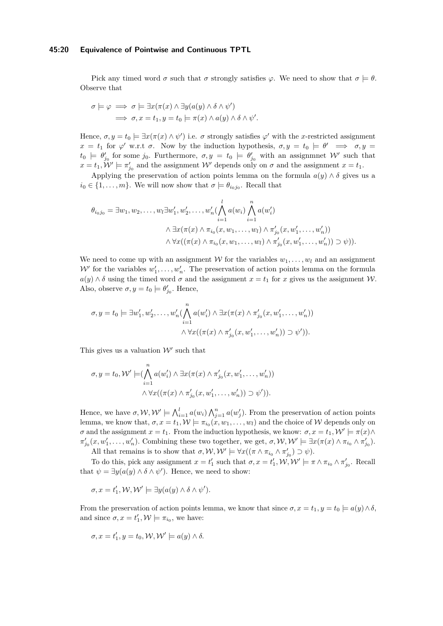#### **45:20 Equivalence of Pointwise and Continuous TPTL**

Pick any timed word  $\sigma$  such that  $\sigma$  strongly satisfies  $\varphi$ . We need to show that  $\sigma \models \theta$ . Observe that

$$
\sigma \models \varphi \implies \sigma \models \exists x (\pi(x) \land \exists y (a(y) \land \delta \land \psi')\ \Rightarrow \sigma, x = t_1, y = t_0 \models \pi(x) \land a(y) \land \delta \land \psi'.
$$

Hence,  $\sigma, y = t_0 \models \exists x (\pi(x) \land \psi')$  i.e.  $\sigma$  strongly satisfies  $\varphi'$  with the *x*-restricted assignment  $x = t_1$  for  $\varphi'$  w.r.t  $\sigma$ . Now by the induction hypothesis,  $\sigma, y = t_0 \models \theta' \implies \sigma, y = t_1$  $t_0 \models \theta'_{j_0}$  for some  $j_0$ . Furthermore,  $\sigma, y = t_0 \models \theta'_{j_0}$  with an assignment W' such that  $x = t_1$ ,  $\mathcal{W}' \models \pi'_{j_0}$  and the assignment  $\mathcal{W}'$  depends only on  $\sigma$  and the assignment  $x = t_1$ .

Applying the preservation of action points lemma on the formula  $a(y) \wedge \delta$  gives us a  $i_0 \in \{1, \ldots, m\}$ . We will now show that  $\sigma \models \theta_{i_0 j_0}$ . Recall that

$$
\theta_{i_0j_0} = \exists w_1, w_2, \dots, w_l \exists w'_1, w'_2, \dots, w'_n \left( \bigwedge_{i=1}^l a(w_i) \bigwedge_{i=1}^n a(w'_i) \right. \n\land \exists x (\pi(x) \land \pi_{i_0}(x, w_1, \dots, w_l) \land \pi'_{j_0}(x, w'_1, \dots, w'_n)) \n\land \forall x ((\pi(x) \land \pi_{i_0}(x, w_1, \dots, w_l) \land \pi'_{j_0}(x, w'_1, \dots, w'_n)) \supset \psi)).
$$

We need to come up with an assignment W for the variables  $w_1, \ldots, w_l$  and an assignment  $W'$  for the variables  $w'_1, \ldots, w'_n$ . The preservation of action points lemma on the formula  $a(y) \wedge \delta$  using the timed word  $\sigma$  and the assignment  $x = t_1$  for *x* gives us the assignment W. Also, observe  $\sigma, y = t_0 \models \theta'_{j_0}$ . Hence,

$$
\sigma, y = t_0 \models \exists w'_1, w'_2, \dots, w'_n \left( \bigwedge_{i=1}^n a(w'_i) \land \exists x (\pi(x) \land \pi'_{j_0}(x, w'_1, \dots, w'_n)) \right. \\ \left. \qquad \qquad \land \forall x ((\pi(x) \land \pi'_{j_0}(x, w'_1, \dots, w'_n)) \supset \psi').
$$

This gives us a valuation  $\mathcal{W}'$  such that

$$
\sigma, y = t_0, \mathcal{W}' \models (\bigwedge_{i=1}^n a(w'_i) \land \exists x (\pi(x) \land \pi'_{j_0}(x, w'_1, \dots, w'_n))
$$

$$
\land \forall x ((\pi(x) \land \pi'_{j_0}(x, w'_1, \dots, w'_n)) \supset \psi')).
$$

Hence, we have  $\sigma, \mathcal{W}, \mathcal{W}' \models \bigwedge_{i=1}^{l} a(w_i) \bigwedge_{j=1}^{n} a(w'_j)$ . From the preservation of action points lemma, we know that,  $\sigma, x = t_1, \mathcal{W} \models \pi_{i_0}(x, w_1, \dots, w_l)$  and the choice of  $\mathcal W$  depends only on *σ* and the assignment  $x = t_1$ . From the induction hypothesis, we know:  $\sigma, x = t_1, \mathcal{W}' \models \pi(x) \land$  $\pi'_{j_0}(x, w'_1, \ldots, w'_n)$ . Combining these two together, we get,  $\sigma, \mathcal{W}, \mathcal{W}' \models \exists x (\pi(x) \land \pi_{i_0} \land \pi'_{j_0}).$ 

All that remains is to show that  $\sigma, \mathcal{W}, \mathcal{W}' \models \forall x ((\pi \wedge \pi_{i_0} \wedge \pi'_{j_0}) \supset \psi).$ 

To do this, pick any assignment  $x = t'_1$  such that  $\sigma, x = t'_1, \mathcal{W}, \mathcal{W}' \models \pi \wedge \pi_{i_0} \wedge \pi'_{j_0}$ . Recall that  $\psi = \exists y (a(y) \land \delta \land \psi')$ . Hence, we need to show:

$$
\sigma, x = t'_1, \mathcal{W}, \mathcal{W}' \models \exists y (a(y) \land \delta \land \psi').
$$

From the preservation of action points lemma, we know that since  $\sigma$ ,  $x = t_1, y = t_0 \models a(y) \land \delta$ , and since  $\sigma, x = t'_1, \mathcal{W} \models \pi_{i_0}$ , we have:

$$
\sigma, x = t'_1, y = t_0, \mathcal{W}, \mathcal{W}' \models a(y) \land \delta.
$$